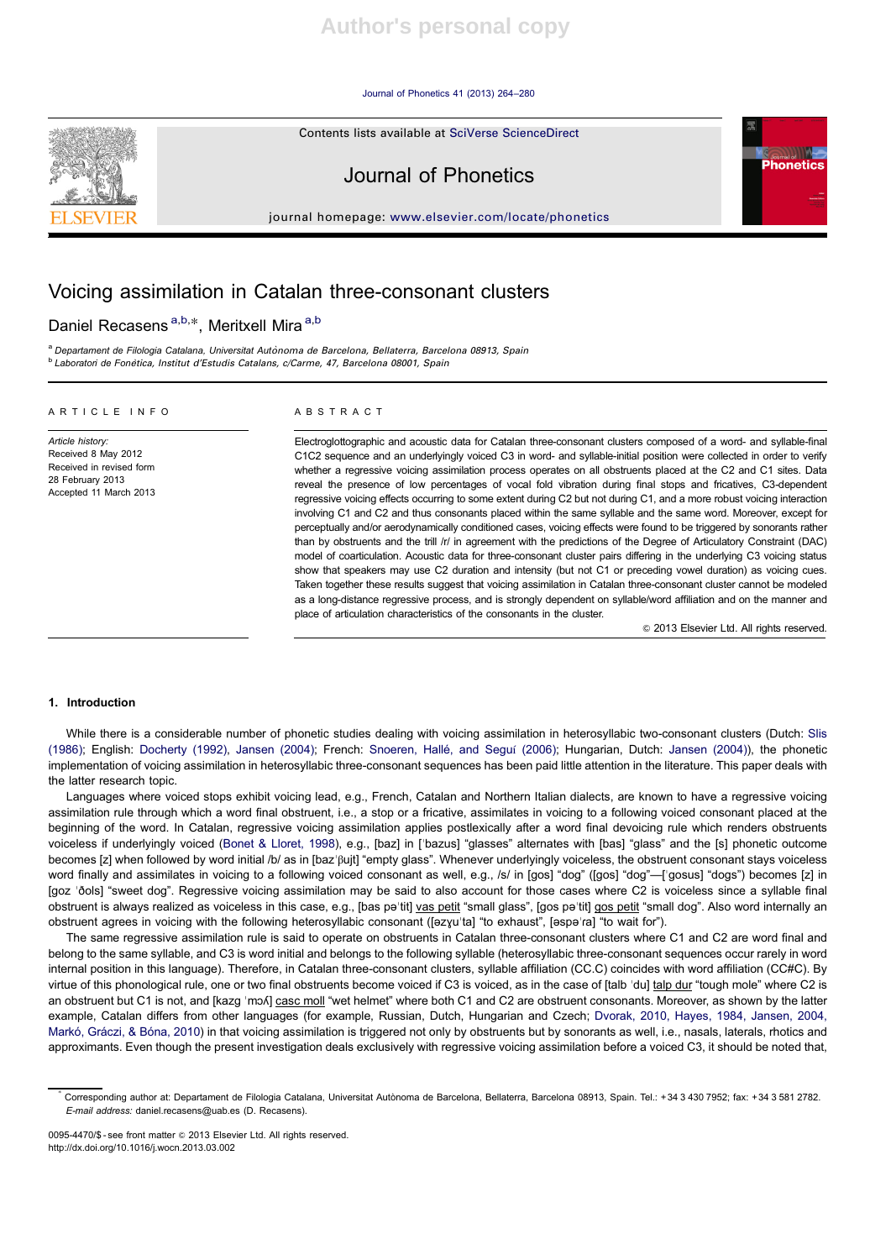Journal of Phonetics 41 (2013) 264–280

Contents lists available at SciVerse ScienceDirect



**Phoneti** 

# Journal of Phonetics

journal homepage: www.elsevier.com/locate/phonetics

# Voicing assimilation in Catalan three-consonant clusters

# Daniel Recasens<sup>a,b, $*$ </sup>, Meritxell Mira<sup>a,b</sup>

<sup>a</sup> Departament de Filologia Catalana, Universitat Autònoma de Barcelona, Bellaterra, Barcelona 08913, Spain <sup>b</sup> Laboratori de Fon*e`tica, Institut d'Estudis Catalans, c/Carme, 47, Barcelona 08001, Spain*

### ARTICLE INFO

Article history: Received 8 May 2012 Received in revised form 28 February 2013 Accepted 11 March 2013

### ABSTRACT

Electroglottographic and acoustic data for Catalan three-consonant clusters composed of a word- and syllable-final C1C2 sequence and an underlyingly voiced C3 in word- and syllable-initial position were collected in order to verify whether a regressive voicing assimilation process operates on all obstruents placed at the C2 and C1 sites. Data reveal the presence of low percentages of vocal fold vibration during final stops and fricatives, C3-dependent regressive voicing effects occurring to some extent during C2 but not during C1, and a more robust voicing interaction involving C1 and C2 and thus consonants placed within the same syllable and the same word. Moreover, except for perceptually and/or aerodynamically conditioned cases, voicing effects were found to be triggered by sonorants rather than by obstruents and the trill /r/ in agreement with the predictions of the Degree of Articulatory Constraint (DAC) model of coarticulation. Acoustic data for three-consonant cluster pairs differing in the underlying C3 voicing status show that speakers may use C2 duration and intensity (but not C1 or preceding vowel duration) as voicing cues. Taken together these results suggest that voicing assimilation in Catalan three-consonant cluster cannot be modeled as a long-distance regressive process, and is strongly dependent on syllable/word affiliation and on the manner and place of articulation characteristics of the consonants in the cluster.

 $\degree$  2013 Elsevier Ltd. All rights reserved.

### 1. Introduction

While there is a considerable number of phonetic studies dealing with voicing assimilation in heterosyllabic two-consonant clusters (Dutch: Slis (1986); English: Docherty (1992), Jansen (2004); French: Snoeren, Hallé, and Segu<sup>í</sup> (2006); Hungarian, Dutch: Jansen (2004)), the phonetic implementation of voicing assimilation in heterosyllabic three-consonant sequences has been paid little attention in the literature. This paper deals with the latter research topic.

Languages where voiced stops exhibit voicing lead, e.g., French, Catalan and Northern Italian dialects, are known to have a regressive voicing assimilation rule through which a word final obstruent, i.e., a stop or a fricative, assimilates in voicing to a following voiced consonant placed at the beginning of the word. In Catalan, regressive voicing assimilation applies postlexically after a word final devoicing rule which renders obstruents voiceless if underlyingly voiced (Bonet & Lloret, 1998), e.g., [baz] in [ˈbazus] "glasses" alternates with [bas] "glass" and the [s] phonetic outcome becomes [z] when followed by word initial /b/ as in [bazˈβujt] "empty glass". Whenever underlyingly voiceless, the obstruent consonant stays voiceless word finally and assimilates in voicing to a following voiced consonant as well, e.g., /s/ in [gos] "dog" ([gos] "dog"-['gosus] "dogs") becomes [z] in [goz <sup>ˈ</sup>ðols] "sweet dog". Regressive voicing assimilation may be said to also account for those cases where C2 is voiceless since a syllable final obstruent is always realized as voiceless in this case, e.g., [bas pe'tit] vas petit "small glass", [gos pe'tit] gos petit "small dog". Also word internally an obstruent agrees in voicing with the following heterosyllabic consonant ([əzɣuˈta] "to exhaust", [əspəˈɾa] "to wait for").

The same regressive assimilation rule is said to operate on obstruents in Catalan three-consonant clusters where C1 and C2 are word final and belong to the same syllable, and C3 is word initial and belongs to the following syllable (heterosyllabic three-consonant sequences occur rarely in word internal position in this language). Therefore, in Catalan three-consonant clusters, syllable affiliation (CC.C) coincides with word affiliation (CC#C). By virtue of this phonological rule, one or two final obstruents become voiced if C3 is voiced, as in the case of [talb ˈdu] talp dur "tough mole" where C2 is an obstruent but C1 is not, and [kazg 'mo/i] casc moll "wet helmet" where both C1 and C2 are obstruent consonants. Moreover, as shown by the latter example, Catalan differs from other languages (for example, Russian, Dutch, Hungarian and Czech; Dvorak, 2010, Hayes, 1984, Jansen, 2004, Markó, Gráczi, & Bóna, 2010) in that voicing assimilation is triggered not only by obstruents but by sonorants as well, i.e., nasals, laterals, rhotics and approximants. Even though the present investigation deals exclusively with regressive voicing assimilation before a voiced C3, it should be noted that,

0095-4470/\$ - see front matter & 2013 Elsevier Ltd. All rights reserved. http://dx.doi.org/10.1016/j.wocn.2013.03.002

<sup>⁎</sup> Corresponding author at: Departament de Filologia Catalana, Universitat Autònoma de Barcelona, Bellaterra, Barcelona 08913, Spain. Tel.: +34 3 430 7952; fax: +34 3 581 2782. E-mail address: daniel.recasens@uab.es (D. Recasens).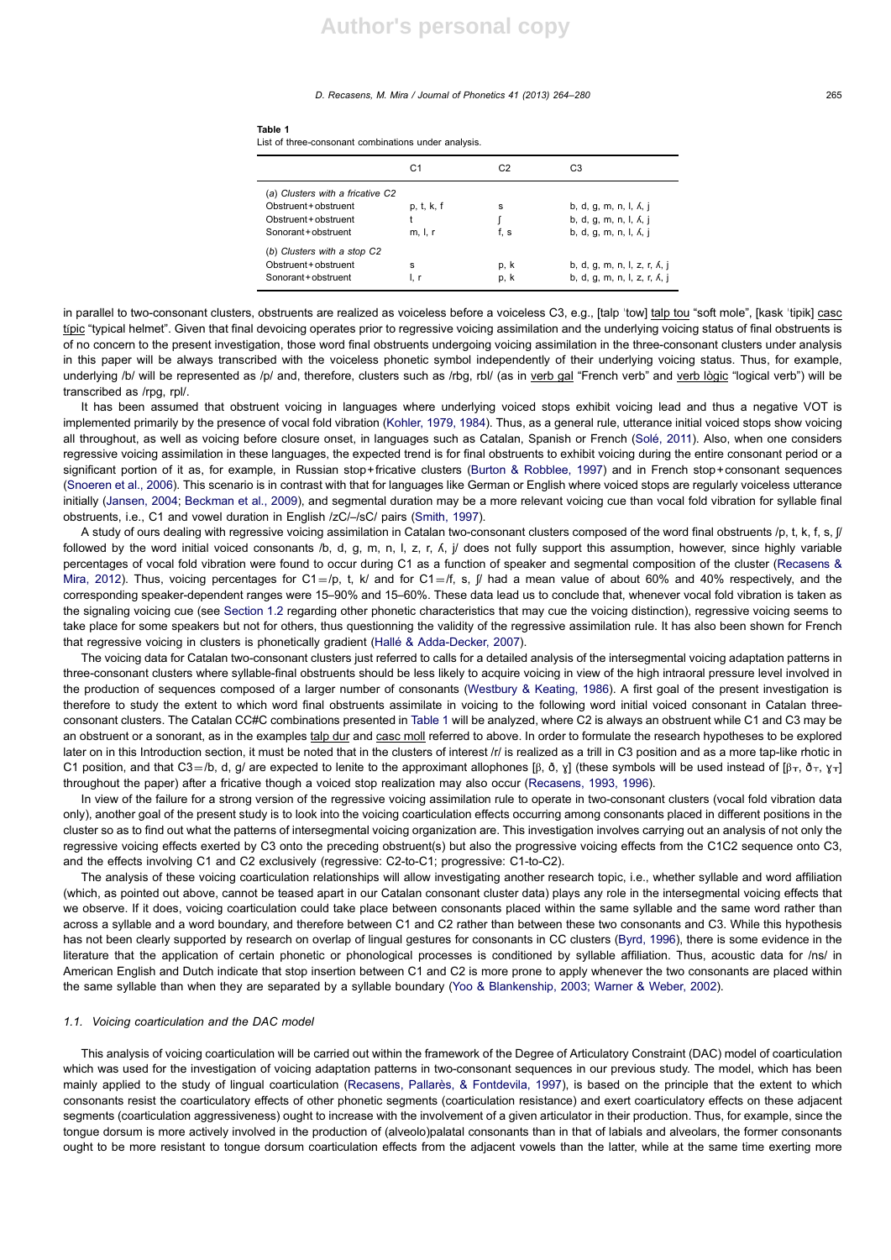### D. Recasens, M. Mira / Journal of Phonetics 41 (2013) 264–280 265

Table 1

| List of three-consonant combinations under analysis. |            |                |                                       |
|------------------------------------------------------|------------|----------------|---------------------------------------|
|                                                      | C1         | C <sub>2</sub> | C <sub>3</sub>                        |
| (a) Clusters with a fricative C2                     |            |                |                                       |
| Obstruent+obstruent                                  | p. t. k. f | s              | b, d, g, m, n, l, $\Lambda$ , j       |
| Obstruent + obstruent                                |            |                | b, d, g, m, n, l, $\Lambda$ , j       |
| Sonorant + obstruent                                 | m, I, r    | f. s           | b, d, g, m, n, l, $\lambda$ , j       |
| (b) Clusters with a stop C2                          |            |                |                                       |
| Obstruent + obstruent                                | s          | p, k           | b, d, g, m, n, l, z, r, $\lambda$ , j |
| Sonorant + obstruent                                 | I, r       | p, k           | b, d, g, m, n, l, z, r, A, j          |

in parallel to two-consonant clusters, obstruents are realized as voiceless before a voiceless C3, e.g., [talp 'tow] talp tou "soft mole", [kask 'tipik] casc tipic "typical helmet". Given that final devoicing operates prior to regressive voicing assimilation and the underlying voicing status of final obstruents is of no concern to the present investigation, those word final obstruents undergoing voicing assimilation in the three-consonant clusters under analysis in this paper will be always transcribed with the voiceless phonetic symbol independently of their underlying voicing status. Thus, for example, underlying /b/ will be represented as /p/ and, therefore, clusters such as /rbg, rbl/ (as in verb gal "French verb" and verb lògic "logical verb") will be transcribed as /rpg, rpl/.

It has been assumed that obstruent voicing in languages where underlying voiced stops exhibit voicing lead and thus a negative VOT is implemented primarily by the presence of vocal fold vibration (Kohler, 1979, 1984). Thus, as a general rule, utterance initial voiced stops show voicing all throughout, as well as voicing before closure onset, in languages such as Catalan, Spanish or French (Solé, 2011). Also, when one considers regressive voicing assimilation in these languages, the expected trend is for final obstruents to exhibit voicing during the entire consonant period or a significant portion of it as, for example, in Russian stop+fricative clusters (Burton & Robblee, 1997) and in French stop+consonant sequences (Snoeren et al., 2006). This scenario is in contrast with that for languages like German or English where voiced stops are regularly voiceless utterance initially (Jansen, 2004; Beckman et al., 2009), and segmental duration may be a more relevant voicing cue than vocal fold vibration for syllable final obstruents, i.e., C1 and vowel duration in English /zC/–/sC/ pairs (Smith, 1997).

A study of ours dealing with regressive voicing assimilation in Catalan two-consonant clusters composed of the word final obstruents /p, t, k, f, s, [/ followed by the word initial voiced consonants /b, d, g, m, n, l, z, r, *k*, j/ does not fully support this assumption, however, since highly variable percentages of vocal fold vibration were found to occur during C1 as a function of speaker and segmental composition of the cluster (Recasens & Mira, 2012). Thus, voicing percentages for C1=/p, t, k/ and for C1=/f, s,  $\beta$  had a mean value of about 60% and 40% respectively, and the corresponding speaker-dependent ranges were 15–90% and 15–60%. These data lead us to conclude that, whenever vocal fold vibration is taken as the signaling voicing cue (see Section 1.2 regarding other phonetic characteristics that may cue the voicing distinction), regressive voicing seems to take place for some speakers but not for others, thus questionning the validity of the regressive assimilation rule. It has also been shown for French that regressive voicing in clusters is phonetically gradient (Hallé & Adda-Decker, 2007).

The voicing data for Catalan two-consonant clusters just referred to calls for a detailed analysis of the intersegmental voicing adaptation patterns in three-consonant clusters where syllable-final obstruents should be less likely to acquire voicing in view of the high intraoral pressure level involved in the production of sequences composed of a larger number of consonants (Westbury & Keating, 1986). A first goal of the present investigation is therefore to study the extent to which word final obstruents assimilate in voicing to the following word initial voiced consonant in Catalan threeconsonant clusters. The Catalan CC#C combinations presented in Table 1 will be analyzed, where C2 is always an obstruent while C1 and C3 may be an obstruent or a sonorant, as in the examples talp dur and casc moll referred to above. In order to formulate the research hypotheses to be explored later on in this Introduction section, it must be noted that in the clusters of interest /r/ is realized as a trill in C3 position and as a more tap-like rhotic in C1 position, and that C3=/b, d, g/ are expected to lenite to the approximant allophones [β, ð, χ] (these symbols will be used instead of [βτ, ðτ, χτ] throughout the paper) after a fricative though a voiced stop realization may also occur (Recasens, 1993, 1996).

In view of the failure for a strong version of the regressive voicing assimilation rule to operate in two-consonant clusters (vocal fold vibration data only), another goal of the present study is to look into the voicing coarticulation effects occurring among consonants placed in different positions in the cluster so as to find out what the patterns of intersegmental voicing organization are. This investigation involves carrying out an analysis of not only the regressive voicing effects exerted by C3 onto the preceding obstruent(s) but also the progressive voicing effects from the C1C2 sequence onto C3, and the effects involving C1 and C2 exclusively (regressive: C2-to-C1; progressive: C1-to-C2).

The analysis of these voicing coarticulation relationships will allow investigating another research topic, i.e., whether syllable and word affiliation (which, as pointed out above, cannot be teased apart in our Catalan consonant cluster data) plays any role in the intersegmental voicing effects that we observe. If it does, voicing coarticulation could take place between consonants placed within the same syllable and the same word rather than across a syllable and a word boundary, and therefore between C1 and C2 rather than between these two consonants and C3. While this hypothesis has not been clearly supported by research on overlap of lingual gestures for consonants in CC clusters (Byrd, 1996), there is some evidence in the literature that the application of certain phonetic or phonological processes is conditioned by syllable affiliation. Thus, acoustic data for /ns/ in American English and Dutch indicate that stop insertion between C1 and C2 is more prone to apply whenever the two consonants are placed within the same syllable than when they are separated by a syllable boundary (Yoo & Blankenship, 2003; Warner & Weber, 2002).

### 1.1. Voicing coarticulation and the DAC model

This analysis of voicing coarticulation will be carried out within the framework of the Degree of Articulatory Constraint (DAC) model of coarticulation which was used for the investigation of voicing adaptation patterns in two-consonant sequences in our previous study. The model, which has been mainly applied to the study of lingual coarticulation (Recasens, Pallarès, & Fontdevila, 1997), is based on the principle that the extent to which consonants resist the coarticulatory effects of other phonetic segments (coarticulation resistance) and exert coarticulatory effects on these adjacent segments (coarticulation aggressiveness) ought to increase with the involvement of a given articulator in their production. Thus, for example, since the tongue dorsum is more actively involved in the production of (alveolo)palatal consonants than in that of labials and alveolars, the former consonants ought to be more resistant to tongue dorsum coarticulation effects from the adjacent vowels than the latter, while at the same time exerting more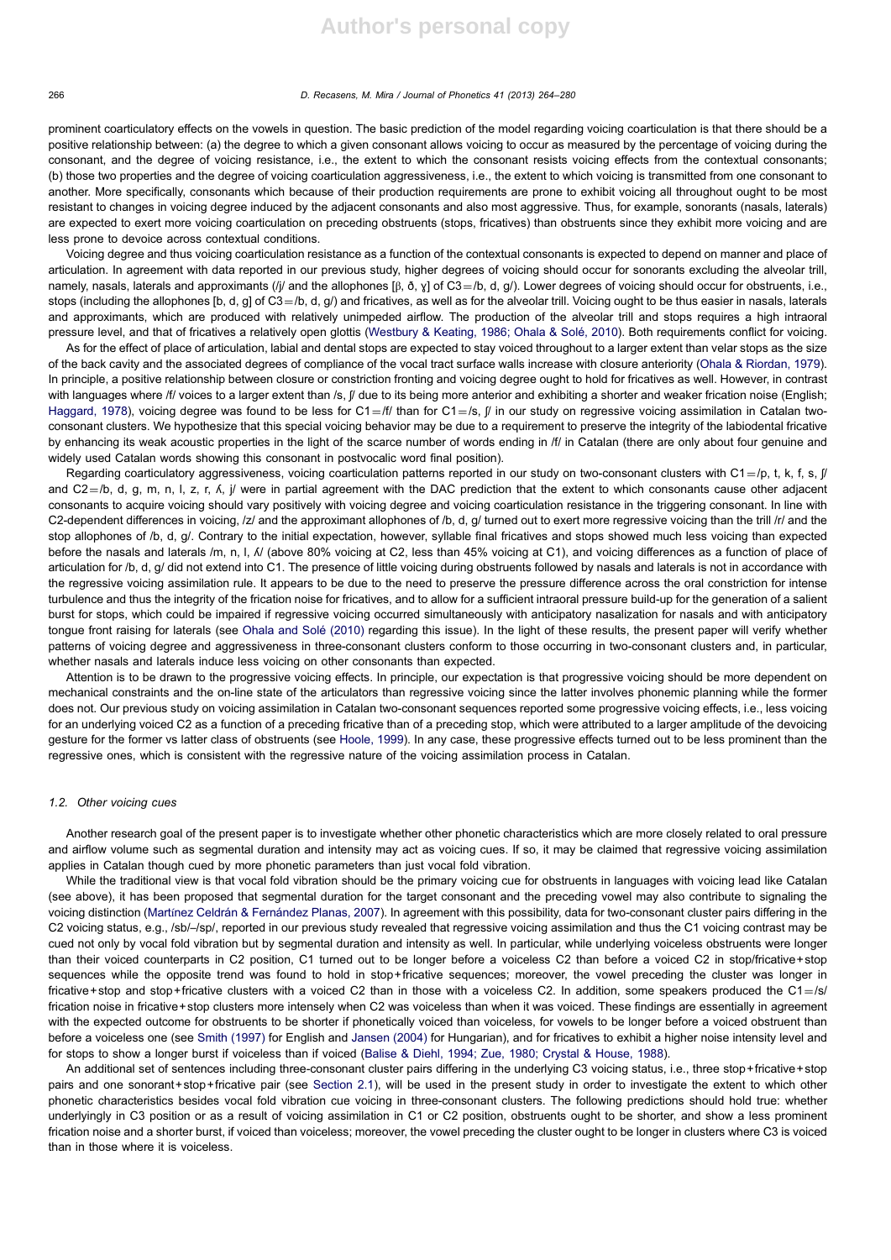prominent coarticulatory effects on the vowels in question. The basic prediction of the model regarding voicing coarticulation is that there should be a positive relationship between: (a) the degree to which a given consonant allows voicing to occur as measured by the percentage of voicing during the consonant, and the degree of voicing resistance, i.e., the extent to which the consonant resists voicing effects from the contextual consonants; (b) those two properties and the degree of voicing coarticulation aggressiveness, i.e., the extent to which voicing is transmitted from one consonant to another. More specifically, consonants which because of their production requirements are prone to exhibit voicing all throughout ought to be most resistant to changes in voicing degree induced by the adjacent consonants and also most aggressive. Thus, for example, sonorants (nasals, laterals) are expected to exert more voicing coarticulation on preceding obstruents (stops, fricatives) than obstruents since they exhibit more voicing and are less prone to devoice across contextual conditions.

Voicing degree and thus voicing coarticulation resistance as a function of the contextual consonants is expected to depend on manner and place of articulation. In agreement with data reported in our previous study, higher degrees of voicing should occur for sonorants excluding the alveolar trill, namely, nasals, laterals and approximants (/j/ and the allophones [β, ð, χ] of C3=/b, d, g/). Lower degrees of voicing should occur for obstruents, i.e., stops (including the allophones [b, d, g] of C3=/b, d, g/) and fricatives, as well as for the alveolar trill. Voicing ought to be thus easier in nasals, laterals and approximants, which are produced with relatively unimpeded airflow. The production of the alveolar trill and stops requires a high intraoral pressure level, and that of fricatives a relatively open glottis (Westbury & Keating, 1986; Ohala & Solé, 2010). Both requirements conflict for voicing.

As for the effect of place of articulation, labial and dental stops are expected to stay voiced throughout to a larger extent than velar stops as the size of the back cavity and the associated degrees of compliance of the vocal tract surface walls increase with closure anteriority (Ohala & Riordan, 1979). In principle, a positive relationship between closure or constriction fronting and voicing degree ought to hold for fricatives as well. However, in contrast with languages where *fil* voices to a larger extent than /s, [/ due to its being more anterior and exhibiting a shorter and weaker frication noise (English; Haggard, 1978), voicing degree was found to be less for C1=/f/ than for C1=/s,  $\beta$  in our study on regressive voicing assimilation in Catalan twoconsonant clusters. We hypothesize that this special voicing behavior may be due to a requirement to preserve the integrity of the labiodental fricative by enhancing its weak acoustic properties in the light of the scarce number of words ending in /f/ in Catalan (there are only about four genuine and widely used Catalan words showing this consonant in postvocalic word final position).

Regarding coarticulatory aggressiveness, voicing coarticulation patterns reported in our study on two-consonant clusters with C1=/p, t, k, f, s,  $\beta$ and C2=/b, d, g, m, n, l, z, r,  $\Lambda$ , j/ were in partial agreement with the DAC prediction that the extent to which consonants cause other adjacent consonants to acquire voicing should vary positively with voicing degree and voicing coarticulation resistance in the triggering consonant. In line with C2-dependent differences in voicing,  $|z|$  and the approximant allophones of  $/b$ , d, g/ turned out to exert more regressive voicing than the trill  $/r$  and the stop allophones of /b, d, g/. Contrary to the initial expectation, however, syllable final fricatives and stops showed much less voicing than expected before the nasals and laterals /m, n, l,  $\Lambda$  (above 80% voicing at C2, less than 45% voicing at C1), and voicing differences as a function of place of articulation for /b, d, g/ did not extend into C1. The presence of little voicing during obstruents followed by nasals and laterals is not in accordance with the regressive voicing assimilation rule. It appears to be due to the need to preserve the pressure difference across the oral constriction for intense turbulence and thus the integrity of the frication noise for fricatives, and to allow for a sufficient intraoral pressure build-up for the generation of a salient burst for stops, which could be impaired if regressive voicing occurred simultaneously with anticipatory nasalization for nasals and with anticipatory tongue front raising for laterals (see Ohala and Solé (2010) regarding this issue). In the light of these results, the present paper will verify whether patterns of voicing degree and aggressiveness in three-consonant clusters conform to those occurring in two-consonant clusters and, in particular, whether nasals and laterals induce less voicing on other consonants than expected.

Attention is to be drawn to the progressive voicing effects. In principle, our expectation is that progressive voicing should be more dependent on mechanical constraints and the on-line state of the articulators than regressive voicing since the latter involves phonemic planning while the former does not. Our previous study on voicing assimilation in Catalan two-consonant sequences reported some progressive voicing effects, i.e., less voicing for an underlying voiced C2 as a function of a preceding fricative than of a preceding stop, which were attributed to a larger amplitude of the devoicing gesture for the former vs latter class of obstruents (see Hoole, 1999). In any case, these progressive effects turned out to be less prominent than the regressive ones, which is consistent with the regressive nature of the voicing assimilation process in Catalan.

### 1.2. Other voicing cues

Another research goal of the present paper is to investigate whether other phonetic characteristics which are more closely related to oral pressure and airflow volume such as segmental duration and intensity may act as voicing cues. If so, it may be claimed that regressive voicing assimilation applies in Catalan though cued by more phonetic parameters than just vocal fold vibration.

While the traditional view is that vocal fold vibration should be the primary voicing cue for obstruents in languages with voicing lead like Catalan (see above), it has been proposed that segmental duration for the target consonant and the preceding vowel may also contribute to signaling the voicing distinction (Martínez Celdrán & Fernández Planas, 2007). In agreement with this possibility, data for two-consonant cluster pairs differing in the C2 voicing status, e.g., /sb/-/sp/, reported in our previous study revealed that regressive voicing assimilation and thus the C1 voicing contrast may be cued not only by vocal fold vibration but by segmental duration and intensity as well. In particular, while underlying voiceless obstruents were longer than their voiced counterparts in C2 position, C1 turned out to be longer before a voiceless C2 than before a voiced C2 in stop/fricative+stop sequences while the opposite trend was found to hold in stop+fricative sequences; moreover, the vowel preceding the cluster was longer in fricative+stop and stop+fricative clusters with a voiced C2 than in those with a voiceless C2. In addition, some speakers produced the C1=/s/ frication noise in fricative+stop clusters more intensely when C2 was voiceless than when it was voiced. These findings are essentially in agreement with the expected outcome for obstruents to be shorter if phonetically voiced than voiceless, for vowels to be longer before a voiced obstruent than before a voiceless one (see Smith (1997) for English and Jansen (2004) for Hungarian), and for fricatives to exhibit a higher noise intensity level and for stops to show a longer burst if voiceless than if voiced (Balise & Diehl, 1994; Zue, 1980; Crystal & House, 1988).

An additional set of sentences including three-consonant cluster pairs differing in the underlying C3 voicing status, i.e., three stop+fricative+stop pairs and one sonorant+stop+fricative pair (see Section 2.1), will be used in the present study in order to investigate the extent to which other phonetic characteristics besides vocal fold vibration cue voicing in three-consonant clusters. The following predictions should hold true: whether underlyingly in C3 position or as a result of voicing assimilation in C1 or C2 position, obstruents ought to be shorter, and show a less prominent frication noise and a shorter burst, if voiced than voiceless; moreover, the vowel preceding the cluster ought to be longer in clusters where C3 is voiced than in those where it is voiceless.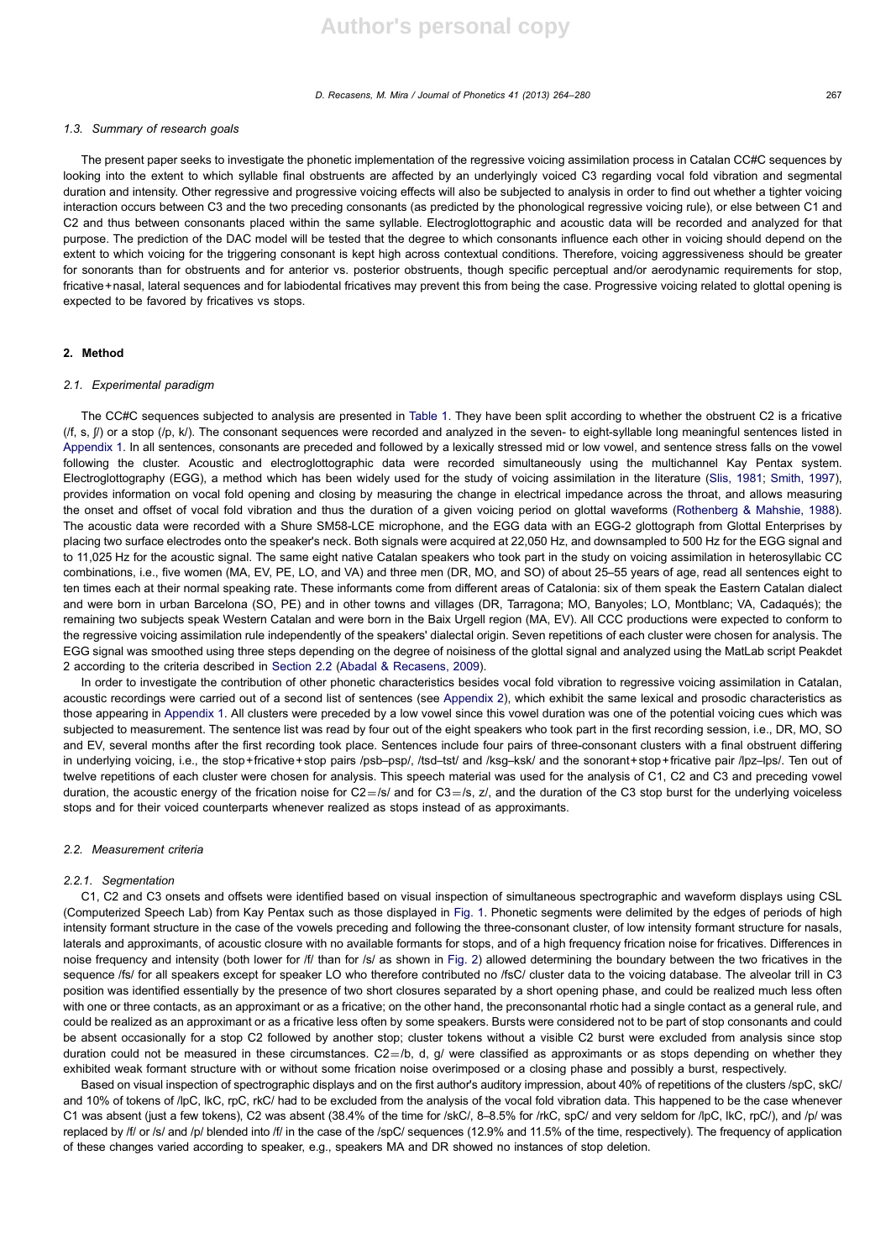### 1.3. Summary of research goals

The present paper seeks to investigate the phonetic implementation of the regressive voicing assimilation process in Catalan CC#C sequences by looking into the extent to which syllable final obstruents are affected by an underlyingly voiced C3 regarding vocal fold vibration and segmental duration and intensity. Other regressive and progressive voicing effects will also be subjected to analysis in order to find out whether a tighter voicing interaction occurs between C3 and the two preceding consonants (as predicted by the phonological regressive voicing rule), or else between C1 and C2 and thus between consonants placed within the same syllable. Electroglottographic and acoustic data will be recorded and analyzed for that purpose. The prediction of the DAC model will be tested that the degree to which consonants influence each other in voicing should depend on the extent to which voicing for the triggering consonant is kept high across contextual conditions. Therefore, voicing aggressiveness should be greater for sonorants than for obstruents and for anterior vs. posterior obstruents, though specific perceptual and/or aerodynamic requirements for stop, fricative+nasal, lateral sequences and for labiodental fricatives may prevent this from being the case. Progressive voicing related to glottal opening is expected to be favored by fricatives vs stops.

### 2. Method

### 2.1. Experimental paradigm

The CC#C sequences subjected to analysis are presented in Table 1. They have been split according to whether the obstruent C2 is a fricative (If, s,  $J$ ) or a stop (/p, k/). The consonant sequences were recorded and analyzed in the seven- to eight-syllable long meaningful sentences listed in Appendix 1. In all sentences, consonants are preceded and followed by a lexically stressed mid or low vowel, and sentence stress falls on the vowel following the cluster. Acoustic and electroglottographic data were recorded simultaneously using the multichannel Kay Pentax system. Electroglottography (EGG), a method which has been widely used for the study of voicing assimilation in the literature (Slis, 1981; Smith, 1997), provides information on vocal fold opening and closing by measuring the change in electrical impedance across the throat, and allows measuring the onset and offset of vocal fold vibration and thus the duration of a given voicing period on glottal waveforms (Rothenberg & Mahshie, 1988). The acoustic data were recorded with a Shure SM58-LCE microphone, and the EGG data with an EGG-2 glottograph from Glottal Enterprises by placing two surface electrodes onto the speaker's neck. Both signals were acquired at 22,050 Hz, and downsampled to 500 Hz for the EGG signal and to 11,025 Hz for the acoustic signal. The same eight native Catalan speakers who took part in the study on voicing assimilation in heterosyllabic CC combinations, i.e., five women (MA, EV, PE, LO, and VA) and three men (DR, MO, and SO) of about 25–55 years of age, read all sentences eight to ten times each at their normal speaking rate. These informants come from different areas of Catalonia: six of them speak the Eastern Catalan dialect and were born in urban Barcelona (SO, PE) and in other towns and villages (DR, Tarragona; MO, Banyoles; LO, Montblanc; VA, Cadaqués); the remaining two subjects speak Western Catalan and were born in the Baix Urgell region (MA, EV). All CCC productions were expected to conform to the regressive voicing assimilation rule independently of the speakers' dialectal origin. Seven repetitions of each cluster were chosen for analysis. The EGG signal was smoothed using three steps depending on the degree of noisiness of the glottal signal and analyzed using the MatLab script Peakdet 2 according to the criteria described in Section 2.2 (Abadal & Recasens, 2009).

In order to investigate the contribution of other phonetic characteristics besides vocal fold vibration to regressive voicing assimilation in Catalan, acoustic recordings were carried out of a second list of sentences (see Appendix 2), which exhibit the same lexical and prosodic characteristics as those appearing in Appendix 1. All clusters were preceded by a low vowel since this vowel duration was one of the potential voicing cues which was subjected to measurement. The sentence list was read by four out of the eight speakers who took part in the first recording session, i.e., DR, MO, SO and EV, several months after the first recording took place. Sentences include four pairs of three-consonant clusters with a final obstruent differing in underlying voicing, i.e., the stop+fricative+stop pairs /psb–psp/, /tsd–tst/ and /ksg–ksk/ and the sonorant+stop+fricative pair /lpz–lps/. Ten out of twelve repetitions of each cluster were chosen for analysis. This speech material was used for the analysis of C1, C2 and C3 and preceding vowel duration, the acoustic energy of the frication noise for  $C2 = /s/$  and for  $C3 = /s$ , z/, and the duration of the C3 stop burst for the underlying voiceless stops and for their voiced counterparts whenever realized as stops instead of as approximants.

### 2.2. Measurement criteria

### 2.2.1. Segmentation

C1, C2 and C3 onsets and offsets were identified based on visual inspection of simultaneous spectrographic and waveform displays using CSL (Computerized Speech Lab) from Kay Pentax such as those displayed in Fig. 1. Phonetic segments were delimited by the edges of periods of high intensity formant structure in the case of the vowels preceding and following the three-consonant cluster, of low intensity formant structure for nasals, laterals and approximants, of acoustic closure with no available formants for stops, and of a high frequency frication noise for fricatives. Differences in noise frequency and intensity (both lower for /f/ than for /s/ as shown in Fig. 2) allowed determining the boundary between the two fricatives in the sequence /fs/ for all speakers except for speaker LO who therefore contributed no /fsC/ cluster data to the voicing database. The alveolar trill in C3 position was identified essentially by the presence of two short closures separated by a short opening phase, and could be realized much less often with one or three contacts, as an approximant or as a fricative; on the other hand, the preconsonantal rhotic had a single contact as a general rule, and could be realized as an approximant or as a fricative less often by some speakers. Bursts were considered not to be part of stop consonants and could be absent occasionally for a stop C2 followed by another stop; cluster tokens without a visible C2 burst were excluded from analysis since stop duration could not be measured in these circumstances.  $C2 = /b$ , d, g/ were classified as approximants or as stops depending on whether they exhibited weak formant structure with or without some frication noise overimposed or a closing phase and possibly a burst, respectively.

Based on visual inspection of spectrographic displays and on the first author's auditory impression, about 40% of repetitions of the clusters /spC, skC/ and 10% of tokens of /lpC, lkC, rpC, rkC/ had to be excluded from the analysis of the vocal fold vibration data. This happened to be the case whenever C1 was absent (just a few tokens), C2 was absent (38.4% of the time for /skC/, 8–8.5% for /rkC, spC/ and very seldom for /lpC, lkC, rpC/), and /p/ was replaced by /f/ or /s/ and /p/ blended into /f/ in the case of the /spC/ sequences (12.9% and 11.5% of the time, respectively). The frequency of application of these changes varied according to speaker, e.g., speakers MA and DR showed no instances of stop deletion.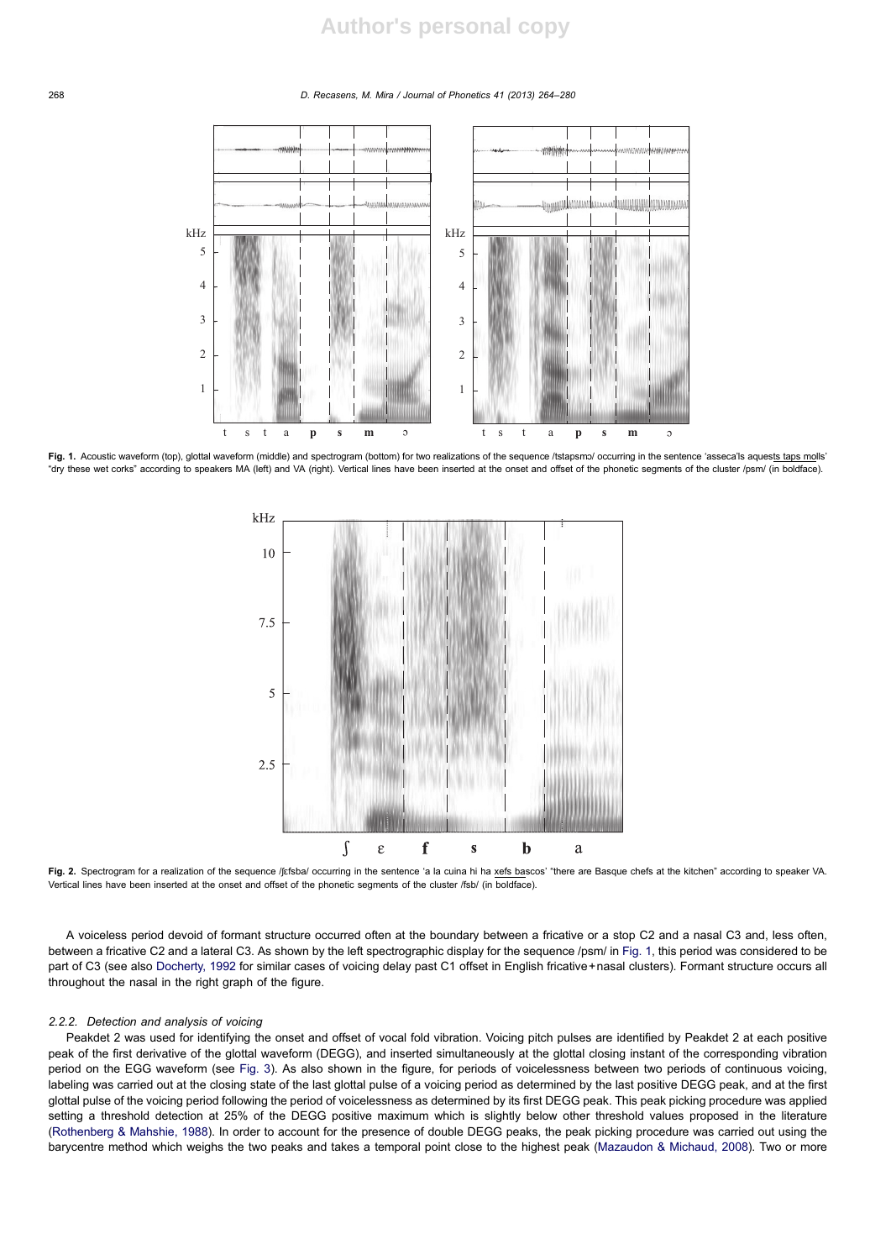268 D. Recasens, M. Mira / Journal of Phonetics 41 (2013) 264–280



Fig. 1. Acoustic waveform (top), glottal waveform (middle) and spectrogram (bottom) for two realizations of the sequence /tstapsmo/ occurring in the sentence 'asseca'ls aquests taps molls' "dry these wet corks" according to speakers MA (left) and VA (right). Vertical lines have been inserted at the onset and offset of the phonetic segments of the cluster /psm/ (in boldface).



Fig. 2. Spectrogram for a realization of the sequence /ʃɛfsba/ occurring in the sentence 'a la cuina hi ha xefs bascos' "there are Basque chefs at the kitchen" according to speaker VA. Vertical lines have been inserted at the onset and offset of the phonetic segments of the cluster /fsb/ (in boldface).

A voiceless period devoid of formant structure occurred often at the boundary between a fricative or a stop C2 and a nasal C3 and, less often, between a fricative C2 and a lateral C3. As shown by the left spectrographic display for the sequence /psm/ in Fig. 1, this period was considered to be part of C3 (see also Docherty, 1992 for similar cases of voicing delay past C1 offset in English fricative+nasal clusters). Formant structure occurs all throughout the nasal in the right graph of the figure.

### 2.2.2. Detection and analysis of voicing

Peakdet 2 was used for identifying the onset and offset of vocal fold vibration. Voicing pitch pulses are identified by Peakdet 2 at each positive peak of the first derivative of the glottal waveform (DEGG), and inserted simultaneously at the glottal closing instant of the corresponding vibration period on the EGG waveform (see Fig. 3). As also shown in the figure, for periods of voicelessness between two periods of continuous voicing, labeling was carried out at the closing state of the last glottal pulse of a voicing period as determined by the last positive DEGG peak, and at the first glottal pulse of the voicing period following the period of voicelessness as determined by its first DEGG peak. This peak picking procedure was applied setting a threshold detection at 25% of the DEGG positive maximum which is slightly below other threshold values proposed in the literature (Rothenberg & Mahshie, 1988). In order to account for the presence of double DEGG peaks, the peak picking procedure was carried out using the barycentre method which weighs the two peaks and takes a temporal point close to the highest peak (Mazaudon & Michaud, 2008). Two or more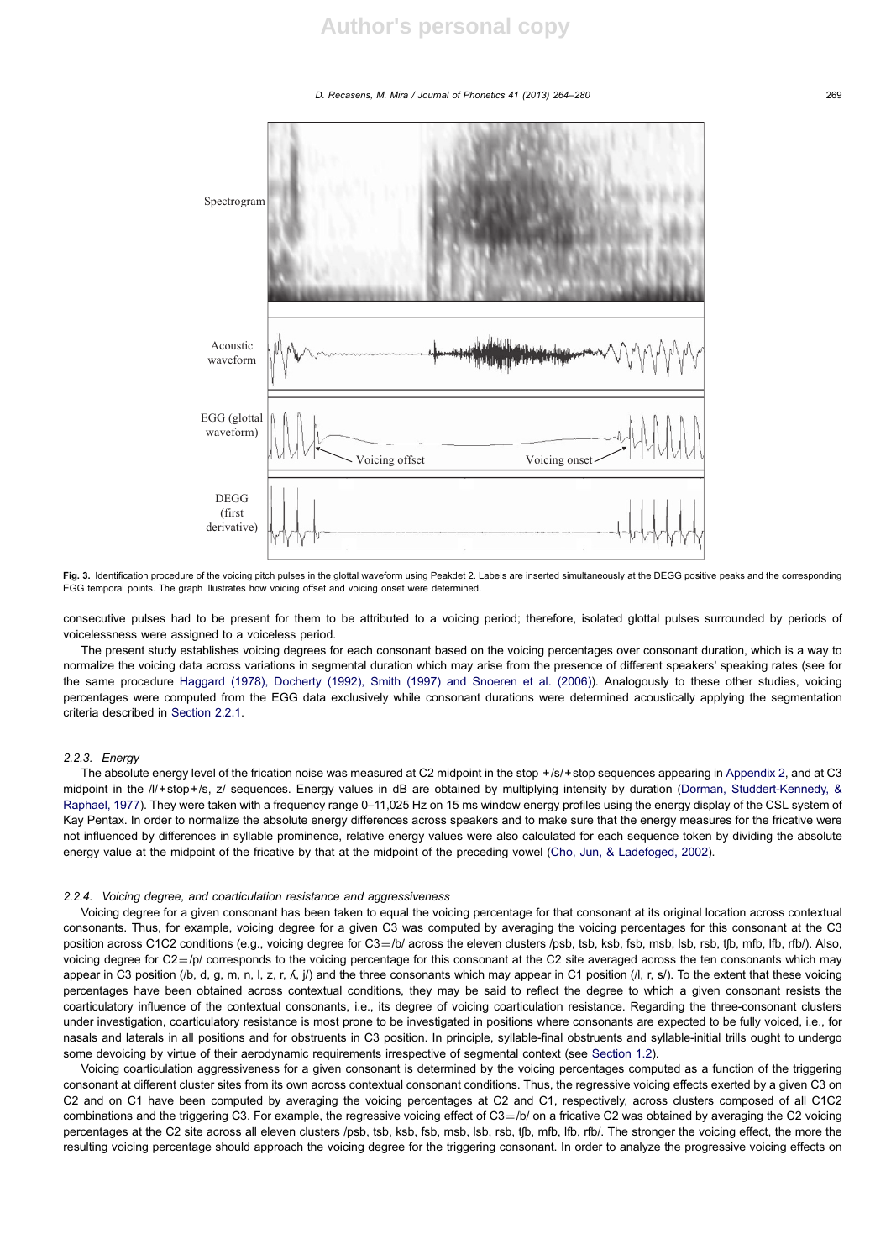

Fig. 3. Identification procedure of the voicing pitch pulses in the glottal waveform using Peakdet 2. Labels are inserted simultaneously at the DEGG positive peaks and the corresponding EGG temporal points. The graph illustrates how voicing offset and voicing onset were determined.

consecutive pulses had to be present for them to be attributed to a voicing period; therefore, isolated glottal pulses surrounded by periods of voicelessness were assigned to a voiceless period.

The present study establishes voicing degrees for each consonant based on the voicing percentages over consonant duration, which is a way to normalize the voicing data across variations in segmental duration which may arise from the presence of different speakers' speaking rates (see for the same procedure Haggard (1978), Docherty (1992), Smith (1997) and Snoeren et al. (2006)). Analogously to these other studies, voicing percentages were computed from the EGG data exclusively while consonant durations were determined acoustically applying the segmentation criteria described in Section 2.2.1.

### 2.2.3. Energy

The absolute energy level of the frication noise was measured at C2 midpoint in the stop +/s/+stop sequences appearing in Appendix 2, and at C3 midpoint in the /l/+stop+/s, z/ sequences. Energy values in dB are obtained by multiplying intensity by duration (Dorman, Studdert-Kennedy, & Raphael, 1977). They were taken with a frequency range 0–11,025 Hz on 15 ms window energy profiles using the energy display of the CSL system of Kay Pentax. In order to normalize the absolute energy differences across speakers and to make sure that the energy measures for the fricative were not influenced by differences in syllable prominence, relative energy values were also calculated for each sequence token by dividing the absolute energy value at the midpoint of the fricative by that at the midpoint of the preceding vowel (Cho, Jun, & Ladefoged, 2002).

### 2.2.4. Voicing degree, and coarticulation resistance and aggressiveness

Voicing degree for a given consonant has been taken to equal the voicing percentage for that consonant at its original location across contextual consonants. Thus, for example, voicing degree for a given C3 was computed by averaging the voicing percentages for this consonant at the C3 position across C1C2 conditions (e.g., voicing degree for  $C3 = /b/$  across the eleven clusters /psb, tsb, ksb, fsb, msb, lsb, rsb, t[b, mfb, lfb, rfb/). Also, voicing degree for  $C2 = /p$  corresponds to the voicing percentage for this consonant at the C2 site averaged across the ten consonants which may appear in C3 position (/b, d, g, m, n, l, z, r,  $\delta$ , j/) and the three consonants which may appear in C1 position (/l, r, s/). To the extent that these voicing percentages have been obtained across contextual conditions, they may be said to reflect the degree to which a given consonant resists the coarticulatory influence of the contextual consonants, i.e., its degree of voicing coarticulation resistance. Regarding the three-consonant clusters under investigation, coarticulatory resistance is most prone to be investigated in positions where consonants are expected to be fully voiced, i.e., for nasals and laterals in all positions and for obstruents in C3 position. In principle, syllable-final obstruents and syllable-initial trills ought to undergo some devoicing by virtue of their aerodynamic requirements irrespective of segmental context (see Section 1.2).

Voicing coarticulation aggressiveness for a given consonant is determined by the voicing percentages computed as a function of the triggering consonant at different cluster sites from its own across contextual consonant conditions. Thus, the regressive voicing effects exerted by a given C3 on C2 and on C1 have been computed by averaging the voicing percentages at C2 and C1, respectively, across clusters composed of all C1C2 combinations and the triggering C3. For example, the regressive voicing effect of  $C3 = /b/$  on a fricative C2 was obtained by averaging the C2 voicing percentages at the C2 site across all eleven clusters /psb, tsb, ksb, fsb, msb, lsb, rsb, t[b, mfb, lfb, rfb/. The stronger the voicing effect, the more the resulting voicing percentage should approach the voicing degree for the triggering consonant. In order to analyze the progressive voicing effects on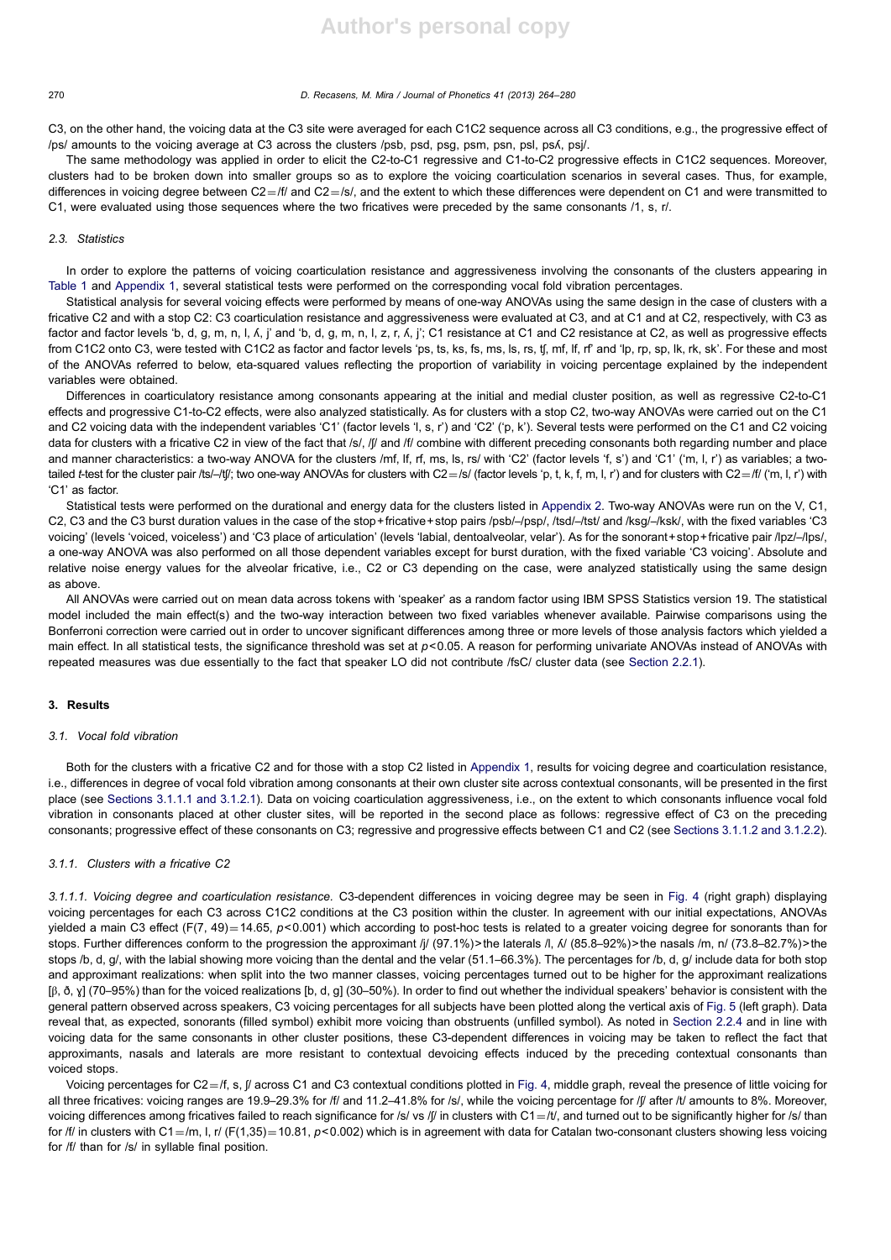C3, on the other hand, the voicing data at the C3 site were averaged for each C1C2 sequence across all C3 conditions, e.g., the progressive effect of /ps/ amounts to the voicing average at C3 across the clusters /psb, psd, psg, psm, psn, psl, psʎ, psj/.

The same methodology was applied in order to elicit the C2-to-C1 regressive and C1-to-C2 progressive effects in C1C2 sequences. Moreover, clusters had to be broken down into smaller groups so as to explore the voicing coarticulation scenarios in several cases. Thus, for example, differences in voicing degree between  $C2 = f/$  and  $C2 = /s/$ , and the extent to which these differences were dependent on C1 and were transmitted to C1, were evaluated using those sequences where the two fricatives were preceded by the same consonants /1, s, r/.

### 2.3. Statistics

In order to explore the patterns of voicing coarticulation resistance and aggressiveness involving the consonants of the clusters appearing in Table 1 and Appendix 1, several statistical tests were performed on the corresponding vocal fold vibration percentages.

Statistical analysis for several voicing effects were performed by means of one-way ANOVAs using the same design in the case of clusters with a fricative C2 and with a stop C2: C3 coarticulation resistance and aggressiveness were evaluated at C3, and at C1 and at C2, respectively, with C3 as factor and factor levels 'b, d, g, m, n, l, K, j' and 'b, d, g, m, n, l, z, r, K, j'; C1 resistance at C1 and C2 resistance at C2, as well as progressive effects from C1C2 onto C3, were tested with C1C2 as factor and factor levels 'ps, ts, ks, fs, ms, ls, rs, tf, mf, lf, rf' and 'lp, rp, sp, lk, rk, sk'. For these and most of the ANOVAs referred to below, eta-squared values reflecting the proportion of variability in voicing percentage explained by the independent variables were obtained.

Differences in coarticulatory resistance among consonants appearing at the initial and medial cluster position, as well as regressive C2-to-C1 effects and progressive C1-to-C2 effects, were also analyzed statistically. As for clusters with a stop C2, two-way ANOVAs were carried out on the C1 and C2 voicing data with the independent variables 'C1' (factor levels 'l, s, r') and 'C2' ('p, k'). Several tests were performed on the C1 and C2 voicing data for clusters with a fricative C2 in view of the fact that /s/, /j/ and /f/ combine with different preceding consonants both regarding number and place and manner characteristics: a two-way ANOVA for the clusters /mf, lf, rf, ms, ls, rs/ with 'C2' (factor levels 'f, s') and 'C1' ('m, l, r') as variables; a twotailed t-test for the cluster pair /ts/-/tʃ/; two one-way ANOVAs for clusters with C2=/s/ (factor levels 'p, t, k, f, m, l, r') and for clusters with C2=/f/ ('m, l, r') with 'C1' as factor.

Statistical tests were performed on the durational and energy data for the clusters listed in Appendix 2. Two-way ANOVAs were run on the V, C1, C2, C3 and the C3 burst duration values in the case of the stop+fricative+stop pairs /psb/–/psp/, /tsd/–/tst/ and /ksq/–/ksk/, with the fixed variables 'C3 voicing' (levels 'voiced, voiceless') and 'C3 place of articulation' (levels 'labial, dentoalveolar, velar'). As for the sonorant+stop+fricative pair /lpz/-/lps/, a one-way ANOVA was also performed on all those dependent variables except for burst duration, with the fixed variable 'C3 voicing'. Absolute and relative noise energy values for the alveolar fricative, i.e., C2 or C3 depending on the case, were analyzed statistically using the same design as above.

All ANOVAs were carried out on mean data across tokens with 'speaker' as a random factor using IBM SPSS Statistics version 19. The statistical model included the main effect(s) and the two-way interaction between two fixed variables whenever available. Pairwise comparisons using the Bonferroni correction were carried out in order to uncover significant differences among three or more levels of those analysis factors which yielded a main effect. In all statistical tests, the significance threshold was set at  $p$ <0.05. A reason for performing univariate ANOVAs instead of ANOVAs with repeated measures was due essentially to the fact that speaker LO did not contribute /fsC/ cluster data (see Section 2.2.1).

### 3. Results

### 3.1. Vocal fold vibration

Both for the clusters with a fricative C2 and for those with a stop C2 listed in Appendix 1, results for voicing degree and coarticulation resistance, i.e., differences in degree of vocal fold vibration among consonants at their own cluster site across contextual consonants, will be presented in the first place (see Sections 3.1.1.1 and 3.1.2.1). Data on voicing coarticulation aggressiveness, i.e., on the extent to which consonants influence vocal fold vibration in consonants placed at other cluster sites, will be reported in the second place as follows: regressive effect of C3 on the preceding consonants; progressive effect of these consonants on C3; regressive and progressive effects between C1 and C2 (see Sections 3.1.1.2 and 3.1.2.2).

### 3.1.1. Clusters with a fricative C2

3.1.1.1. Voicing degree and coarticulation resistance. C3-dependent differences in voicing degree may be seen in Fig. 4 (right graph) displaying voicing percentages for each C3 across C1C2 conditions at the C3 position within the cluster. In agreement with our initial expectations, ANOVAs yielded a main C3 effect (F(7, 49)=14.65,  $p < 0.001$ ) which according to post-hoc tests is related to a greater voicing degree for sonorants than for stops. Further differences conform to the progression the approximant /j/ (97.1%)>the laterals /l,  $\Lambda$ / (85.8–92%)>the nasals /m, n/ (73.8–82.7%)>the stops /b, d, g/, with the labial showing more voicing than the dental and the velar (51.1–66.3%). The percentages for /b, d, g/ include data for both stop and approximant realizations: when split into the two manner classes, voicing percentages turned out to be higher for the approximant realizations [β, ð, <sup>ɣ</sup>] (70–95%) than for the voiced realizations [b, d, g] (30–50%). In order to find out whether the individual speakers' behavior is consistent with the general pattern observed across speakers, C3 voicing percentages for all subjects have been plotted along the vertical axis of Fig. 5 (left graph). Data reveal that, as expected, sonorants (filled symbol) exhibit more voicing than obstruents (unfilled symbol). As noted in Section 2.2.4 and in line with voicing data for the same consonants in other cluster positions, these C3-dependent differences in voicing may be taken to reflect the fact that approximants, nasals and laterals are more resistant to contextual devoicing effects induced by the preceding contextual consonants than voiced stops.

Voicing percentages for C2=/f, s,  $\int$  across C1 and C3 contextual conditions plotted in Fig. 4, middle graph, reveal the presence of little voicing for all three fricatives: voicing ranges are 19.9–29.3% for /f/ and 11.2–41.8% for /s/, while the voicing percentage for /f/ after /t/ amounts to 8%. Moreover, voicing differences among fricatives failed to reach significance for /s/ vs /[/ in clusters with  $C1 = /t/$ , and turned out to be significantly higher for /s/ than for /f/ in clusters with C1 =/m, l, r/ (F(1,35) = 10.81, p<0.002) which is in agreement with data for Catalan two-consonant clusters showing less voicing for /f/ than for /s/ in syllable final position.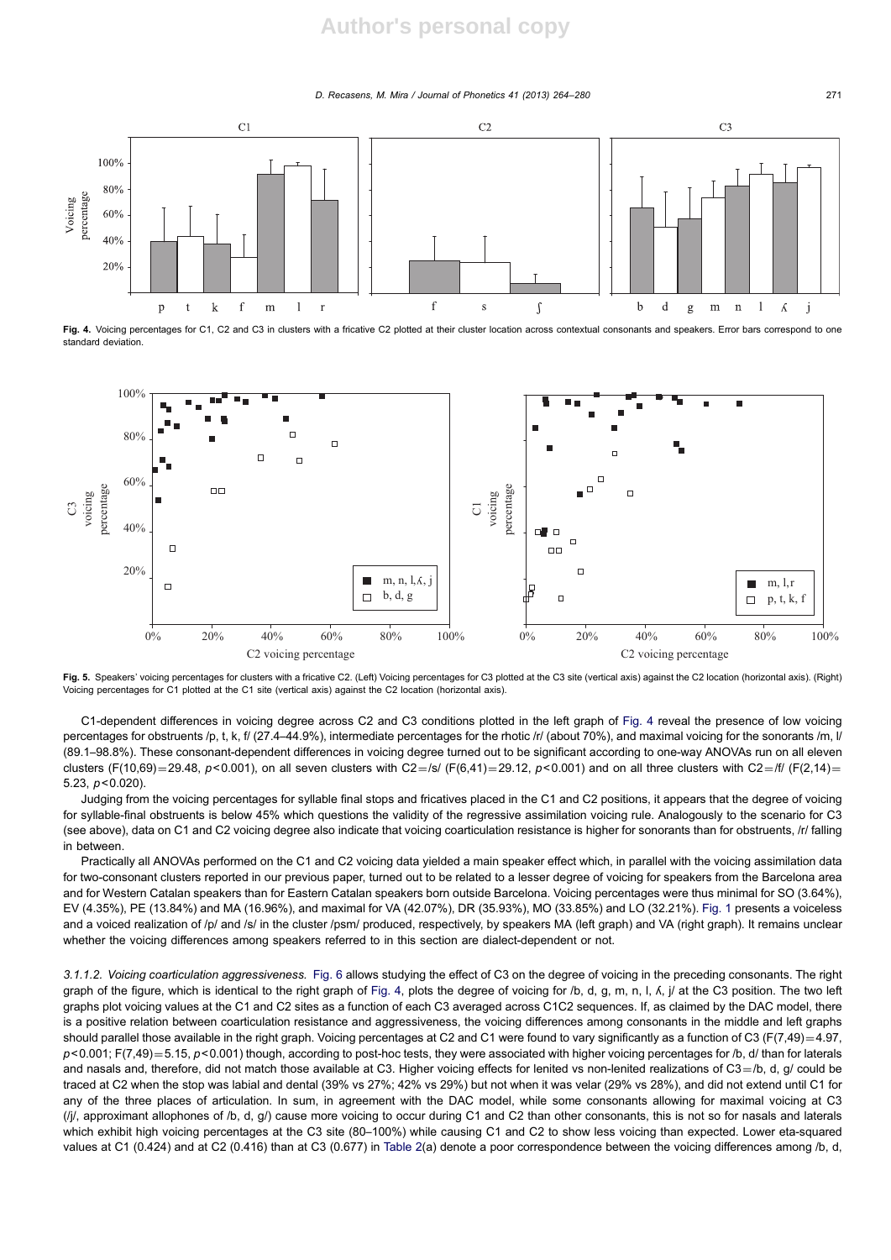D. Recasens, M. Mira / Journal of Phonetics 41 (2013) 264–280 271



Fig. 4. Voicing percentages for C1, C2 and C3 in clusters with a fricative C2 plotted at their cluster location across contextual consonants and speakers. Error bars correspond to one standard deviation.



Fig. 5. Speakers' voicing percentages for clusters with a fricative C2. (Left) Voicing percentages for C3 plotted at the C3 site (vertical axis) against the C2 location (horizontal axis). (Right) Voicing percentages for C1 plotted at the C1 site (vertical axis) against the C2 location (horizontal axis).

C1-dependent differences in voicing degree across C2 and C3 conditions plotted in the left graph of Fig. 4 reveal the presence of low voicing percentages for obstruents /p, t, k, f/ (27.4–44.9%), intermediate percentages for the rhotic /r/ (about 70%), and maximal voicing for the sonorants /m, l/ (89.1–98.8%). These consonant-dependent differences in voicing degree turned out to be significant according to one-way ANOVAs run on all eleven clusters (F(10,69)=29.48, p<0.001), on all seven clusters with C2=/s/ (F(6,41)=29.12, p<0.001) and on all three clusters with C2=/f/ (F(2,14)= 5.23,  $p < 0.020$ ).

Judging from the voicing percentages for syllable final stops and fricatives placed in the C1 and C2 positions, it appears that the degree of voicing for syllable-final obstruents is below 45% which questions the validity of the regressive assimilation voicing rule. Analogously to the scenario for C3 (see above), data on C1 and C2 voicing degree also indicate that voicing coarticulation resistance is higher for sonorants than for obstruents, /r/ falling in between.

Practically all ANOVAs performed on the C1 and C2 voicing data yielded a main speaker effect which, in parallel with the voicing assimilation data for two-consonant clusters reported in our previous paper, turned out to be related to a lesser degree of voicing for speakers from the Barcelona area and for Western Catalan speakers than for Eastern Catalan speakers born outside Barcelona. Voicing percentages were thus minimal for SO (3.64%), EV (4.35%), PE (13.84%) and MA (16.96%), and maximal for VA (42.07%), DR (35.93%), MO (33.85%) and LO (32.21%). Fig. 1 presents a voiceless and a voiced realization of /p/ and /s/ in the cluster /psm/ produced, respectively, by speakers MA (left graph) and VA (right graph). It remains unclear whether the voicing differences among speakers referred to in this section are dialect-dependent or not.

3.1.1.2. Voicing coarticulation aggressiveness. Fig. 6 allows studying the effect of C3 on the degree of voicing in the preceding consonants. The right graph of the figure, which is identical to the right graph of Fig. 4, plots the degree of voicing for /b, d, g, m, n, l,  $\lambda$ , j/ at the C3 position. The two left graphs plot voicing values at the C1 and C2 sites as a function of each C3 averaged across C1C2 sequences. If, as claimed by the DAC model, there is a positive relation between coarticulation resistance and aggressiveness, the voicing differences among consonants in the middle and left graphs should parallel those available in the right graph. Voicing percentages at C2 and C1 were found to vary significantly as a function of C3 (F(7,49)=4.97,  $p$ <0.001; F(7,49)=5.15,  $p$ <0.001) though, according to post-hoc tests, they were associated with higher voicing percentages for /b, d/ than for laterals and nasals and, therefore, did not match those available at C3. Higher voicing effects for lenited vs non-lenited realizations of C3=/b, d, g/ could be traced at C2 when the stop was labial and dental (39% vs 27%; 42% vs 29%) but not when it was velar (29% vs 28%), and did not extend until C1 for any of the three places of articulation. In sum, in agreement with the DAC model, while some consonants allowing for maximal voicing at C3  $(i, i)$ , approximant allophones of /b, d, g/) cause more voicing to occur during C1 and C2 than other consonants, this is not so for nasals and laterals which exhibit high voicing percentages at the C3 site (80–100%) while causing C1 and C2 to show less voicing than expected. Lower eta-squared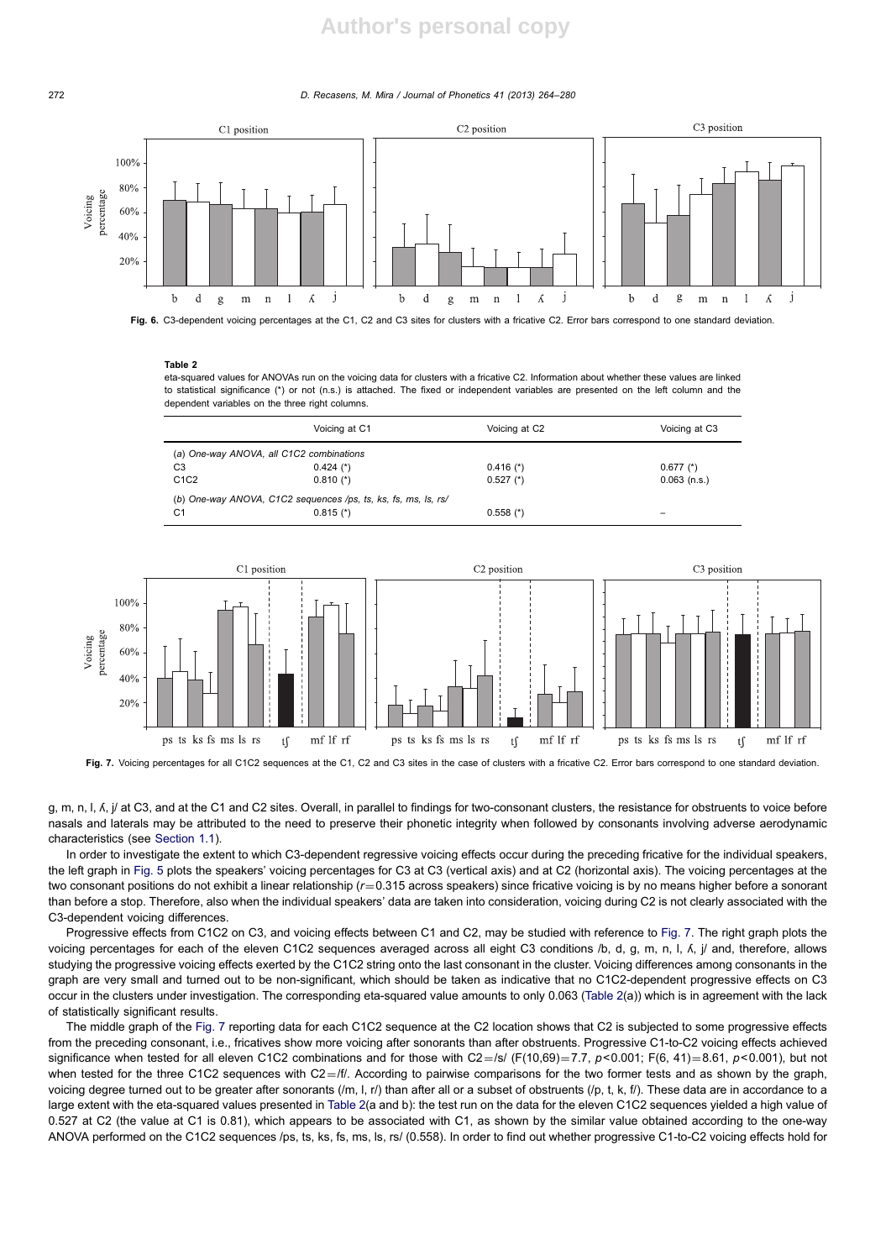### 272 D. Recasens, M. Mira / Journal of Phonetics 41 (2013) 264–280



Fig. 6. C3-dependent voicing percentages at the C1, C2 and C3 sites for clusters with a fricative C2. Error bars correspond to one standard deviation.

#### Table 2

eta-squared values for ANOVAs run on the voicing data for clusters with a fricative C2. Information about whether these values are linked to statistical significance (\*) or not (n.s.) is attached. The fixed or independent variables are presented on the left column and the dependent variables on the three right columns.

|                               | Voicing at C1                                                  | Voicing at C2 | Voicing at C3  |
|-------------------------------|----------------------------------------------------------------|---------------|----------------|
|                               | (a) One-way ANOVA, all C1C2 combinations                       |               |                |
| C <sub>3</sub>                | $0.424$ (*)                                                    | $0.416$ (*)   | $0.677$ (*)    |
| C <sub>1</sub> C <sub>2</sub> | $0.810$ (*)                                                    | $0.527$ (*)   | $0.063$ (n.s.) |
|                               | (b) One-way ANOVA, C1C2 sequences /ps, ts, ks, fs, ms, ls, rs/ |               |                |
| C <sub>1</sub>                | $0.815$ (*)                                                    | $0.558$ (*)   | -              |



Fig. 7. Voicing percentages for all C1C2 sequences at the C1, C2 and C3 sites in the case of clusters with a fricative C2. Error bars correspond to one standard deviation.

g, m, n, l, K, j/ at C3, and at the C1 and C2 sites. Overall, in parallel to findings for two-consonant clusters, the resistance for obstruents to voice before nasals and laterals may be attributed to the need to preserve their phonetic integrity when followed by consonants involving adverse aerodynamic characteristics (see Section 1.1).

In order to investigate the extent to which C3-dependent regressive voicing effects occur during the preceding fricative for the individual speakers, the left graph in Fig. 5 plots the speakers' voicing percentages for C3 at C3 (vertical axis) and at C2 (horizontal axis). The voicing percentages at the two consonant positions do not exhibit a linear relationship  $(r=0.315$  across speakers) since fricative voicing is by no means higher before a sonorant than before a stop. Therefore, also when the individual speakers' data are taken into consideration, voicing during C2 is not clearly associated with the C3-dependent voicing differences.

Progressive effects from C1C2 on C3, and voicing effects between C1 and C2, may be studied with reference to Fig. 7. The right graph plots the voicing percentages for each of the eleven C1C2 sequences averaged across all eight C3 conditions /b, d, g, m, n, l,  $\lambda$ , j/ and, therefore, allows studying the progressive voicing effects exerted by the C1C2 string onto the last consonant in the cluster. Voicing differences among consonants in the graph are very small and turned out to be non-significant, which should be taken as indicative that no C1C2-dependent progressive effects on C3 occur in the clusters under investigation. The corresponding eta-squared value amounts to only 0.063 (Table 2(a)) which is in agreement with the lack of statistically significant results.

The middle graph of the Fig. 7 reporting data for each C1C2 sequence at the C2 location shows that C2 is subjected to some progressive effects from the preceding consonant, i.e., fricatives show more voicing after sonorants than after obstruents. Progressive C1-to-C2 voicing effects achieved significance when tested for all eleven C1C2 combinations and for those with  $C2 = |s|$  (F(10,69) = 7.7, p<0.001; F(6, 41) = 8.61, p<0.001), but not when tested for the three C1C2 sequences with  $C2 = f/f$ . According to pairwise comparisons for the two former tests and as shown by the graph, voicing degree turned out to be greater after sonorants  $(m, l, r)$  than after all or a subset of obstruents  $((p, t, k, f))$ . These data are in accordance to a large extent with the eta-squared values presented in Table 2(a and b): the test run on the data for the eleven C1C2 sequences yielded a high value of 0.527 at C2 (the value at C1 is 0.81), which appears to be associated with C1, as shown by the similar value obtained according to the one-way ANOVA performed on the C1C2 sequences /ps, ts, ks, fs, ms, ls, rs/ (0.558). In order to find out whether progressive C1-to-C2 voicing effects hold for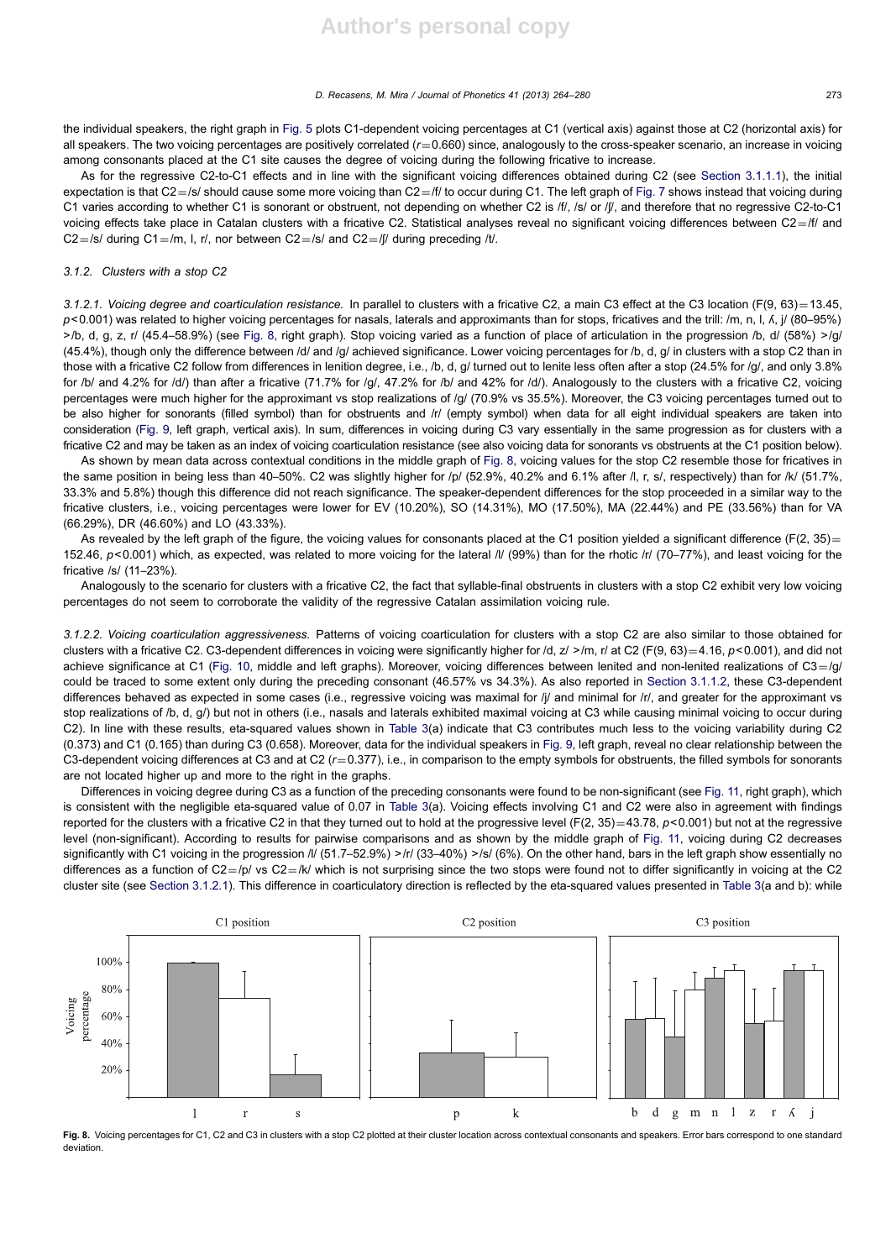the individual speakers, the right graph in Fig. 5 plots C1-dependent voicing percentages at C1 (vertical axis) against those at C2 (horizontal axis) for all speakers. The two voicing percentages are positively correlated  $(r=0.660)$  since, analogously to the cross-speaker scenario, an increase in voicing among consonants placed at the C1 site causes the degree of voicing during the following fricative to increase.

As for the regressive C2-to-C1 effects and in line with the significant voicing differences obtained during C2 (see Section 3.1.1.1), the initial expectation is that  $C2 = /s/$  should cause some more voicing than  $C2 = /f/$  to occur during C1. The left graph of Fig. 7 shows instead that voicing during C1 varies according to whether C1 is sonorant or obstruent, not depending on whether C2 is /f/, /s/ or /f/, and therefore that no regressive C2-to-C1 voicing effects take place in Catalan clusters with a fricative C2. Statistical analyses reveal no significant voicing differences between  $C2 = f f$  and C2=/s/ during C1=/m, l, r/, nor between C2=/s/ and C2=/ $\int$ / during preceding /t/.

### 3.1.2. Clusters with a stop C2

3.1.2.1. Voicing degree and coarticulation resistance. In parallel to clusters with a fricative C2, a main C3 effect at the C3 location (F(9, 63) = 13.45,  $p$ <0.001) was related to higher voicing percentages for nasals, laterals and approximants than for stops, fricatives and the trill: /m, n, l, K, j/ (80–95%) >/b, d, g, z, r/ (45.4–58.9%) (see Fig. 8, right graph). Stop voicing varied as a function of place of articulation in the progression /b, d/ (58%) >/g/ (45.4%), though only the difference between /d/ and /g/ achieved significance. Lower voicing percentages for /b, d, g/ in clusters with a stop C2 than in those with a fricative C2 follow from differences in lenition degree, i.e., /b, d, g/ turned out to lenite less often after a stop (24.5% for /g/, and only 3.8% for /b/ and 4.2% for /d/) than after a fricative (71.7% for /g/, 47.2% for /b/ and 42% for /d/). Analogously to the clusters with a fricative C2, voicing percentages were much higher for the approximant vs stop realizations of /g/ (70.9% vs 35.5%). Moreover, the C3 voicing percentages turned out to be also higher for sonorants (filled symbol) than for obstruents and /r/ (empty symbol) when data for all eight individual speakers are taken into consideration (Fig. 9, left graph, vertical axis). In sum, differences in voicing during C3 vary essentially in the same progression as for clusters with a fricative C2 and may be taken as an index of voicing coarticulation resistance (see also voicing data for sonorants vs obstruents at the C1 position below).

As shown by mean data across contextual conditions in the middle graph of Fig. 8, voicing values for the stop C2 resemble those for fricatives in the same position in being less than 40–50%. C2 was slightly higher for /p/ (52.9%, 40.2% and 6.1% after /l, r, s/, respectively) than for /k/ (51.7%, 33.3% and 5.8%) though this difference did not reach significance. The speaker-dependent differences for the stop proceeded in a similar way to the fricative clusters, i.e., voicing percentages were lower for EV (10.20%), SO (14.31%), MO (17.50%), MA (22.44%) and PE (33.56%) than for VA (66.29%), DR (46.60%) and LO (43.33%).

As revealed by the left graph of the figure, the voicing values for consonants placed at the C1 position yielded a significant difference (F(2, 35) = 152.46, p<0.001) which, as expected, was related to more voicing for the lateral /l/ (99%) than for the rhotic /r/ (70–77%), and least voicing for the fricative /s/ (11–23%).

Analogously to the scenario for clusters with a fricative C2, the fact that syllable-final obstruents in clusters with a stop C2 exhibit very low voicing percentages do not seem to corroborate the validity of the regressive Catalan assimilation voicing rule.

3.1.2.2. Voicing coarticulation aggressiveness. Patterns of voicing coarticulation for clusters with a stop C2 are also similar to those obtained for clusters with a fricative C2. C3-dependent differences in voicing were significantly higher for /d,  $z/$  >/m, r/ at C2 (F(9, 63)=4.16, p<0.001), and did not achieve significance at C1 (Fig. 10, middle and left graphs). Moreover, voicing differences between lenited and non-lenited realizations of C3=/g/ could be traced to some extent only during the preceding consonant (46.57% vs 34.3%). As also reported in Section 3.1.1.2, these C3-dependent differences behaved as expected in some cases (i.e., regressive voicing was maximal for /j/ and minimal for /r/, and greater for the approximant vs stop realizations of /b, d, g/) but not in others (i.e., nasals and laterals exhibited maximal voicing at C3 while causing minimal voicing to occur during C2). In line with these results, eta-squared values shown in Table 3(a) indicate that C3 contributes much less to the voicing variability during C2 (0.373) and C1 (0.165) than during C3 (0.658). Moreover, data for the individual speakers in Fig. 9, left graph, reveal no clear relationship between the C3-dependent voicing differences at C3 and at C2  $(r=0.377)$ , i.e., in comparison to the empty symbols for obstruents, the filled symbols for sonorants are not located higher up and more to the right in the graphs.

Differences in voicing degree during C3 as a function of the preceding consonants were found to be non-significant (see Fig. 11, right graph), which is consistent with the negligible eta-squared value of 0.07 in Table 3(a). Voicing effects involving C1 and C2 were also in agreement with findings reported for the clusters with a fricative C2 in that they turned out to hold at the progressive level (F(2, 35)=43.78, p<0.001) but not at the regressive level (non-significant). According to results for pairwise comparisons and as shown by the middle graph of Fig. 11, voicing during C2 decreases significantly with C1 voicing in the progression /l/ (51.7–52.9%) >/r/ (33–40%) >/s/ (6%). On the other hand, bars in the left graph show essentially no differences as a function of  $C2=|p|$  vs  $C2=|k|$  which is not surprising since the two stops were found not to differ significantly in voicing at the C2 cluster site (see Section 3.1.2.1). This difference in coarticulatory direction is reflected by the eta-squared values presented in Table 3(a and b): while



Fig. 8. Voicing percentages for C1, C2 and C3 in clusters with a stop C2 plotted at their cluster location across contextual consonants and speakers. Error bars correspond to one standard deviation.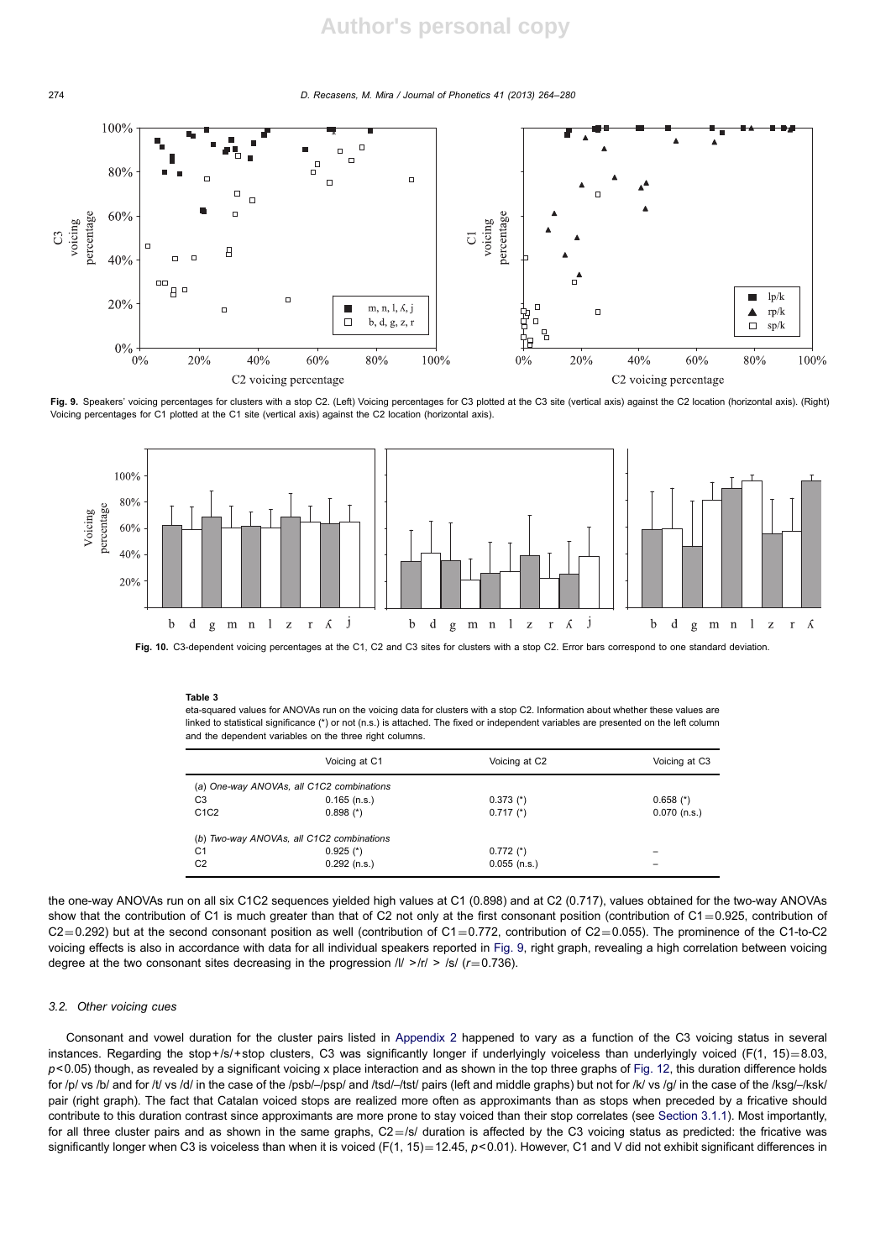

Fig. 9. Speakers' voicing percentages for clusters with a stop C2. (Left) Voicing percentages for C3 plotted at the C3 site (vertical axis) against the C2 location (horizontal axis). (Right) Voicing percentages for C1 plotted at the C1 site (vertical axis) against the C2 location (horizontal axis).



Fig. 10. C3-dependent voicing percentages at the C1, C2 and C3 sites for clusters with a stop C2. Error bars correspond to one standard deviation.

#### Table 3

eta-squared values for ANOVAs run on the voicing data for clusters with a stop C2. Information about whether these values are linked to statistical significance (\*) or not (n.s.) is attached. The fixed or independent variables are presented on the left column and the dependent variables on the three right columns.

|                                           | Voicing at C1  | Voicing at C2  | Voicing at C3  |
|-------------------------------------------|----------------|----------------|----------------|
| (a) One-way ANOVAs, all C1C2 combinations |                |                |                |
| C <sub>3</sub>                            | $0.165$ (n.s.) | $0.373$ (*)    | $0.658$ (*)    |
| C <sub>1</sub> C <sub>2</sub>             | $0.898$ (*)    | $0.717$ (*)    | $0.070$ (n.s.) |
| (b) Two-way ANOVAs, all C1C2 combinations |                |                |                |
| C <sub>1</sub>                            | $0.925$ (*)    | $0.772$ (*)    | -              |
| C <sub>2</sub>                            | $0.292$ (n.s.) | $0.055$ (n.s.) |                |

the one-way ANOVAs run on all six C1C2 sequences yielded high values at C1 (0.898) and at C2 (0.717), values obtained for the two-way ANOVAs show that the contribution of C1 is much greater than that of C2 not only at the first consonant position (contribution of  $C1 = 0.925$ , contribution of  $C2$ =0.292) but at the second consonant position as well (contribution of C1=0.772, contribution of C2=0.055). The prominence of the C1-to-C2 voicing effects is also in accordance with data for all individual speakers reported in Fig. 9, right graph, revealing a high correlation between voicing degree at the two consonant sites decreasing in the progression  $11$  >/r/ > /s/ (r=0.736).

### 3.2. Other voicing cues

Consonant and vowel duration for the cluster pairs listed in Appendix 2 happened to vary as a function of the C3 voicing status in several instances. Regarding the stop+/s/+stop clusters, C3 was significantly longer if underlyingly voiceless than underlyingly voiced (F(1, 15)=8.03,  $p$ <0.05) though, as revealed by a significant voicing x place interaction and as shown in the top three graphs of Fig. 12, this duration difference holds for /p/ vs /b/ and for /t/ vs /d/ in the case of the /psb/-/psp/ and /tsd/-/tst/ pairs (left and middle graphs) but not for /k/ vs /g/ in the case of the /ksg/-/ksk/ pair (right graph). The fact that Catalan voiced stops are realized more often as approximants than as stops when preceded by a fricative should contribute to this duration contrast since approximants are more prone to stay voiced than their stop correlates (see Section 3.1.1). Most importantly, for all three cluster pairs and as shown in the same graphs,  $C2 = |s|$  duration is affected by the C3 voicing status as predicted: the fricative was significantly longer when C3 is voiceless than when it is voiced (F(1, 15)=12.45,  $p<0.01$ ). However, C1 and V did not exhibit significant differences in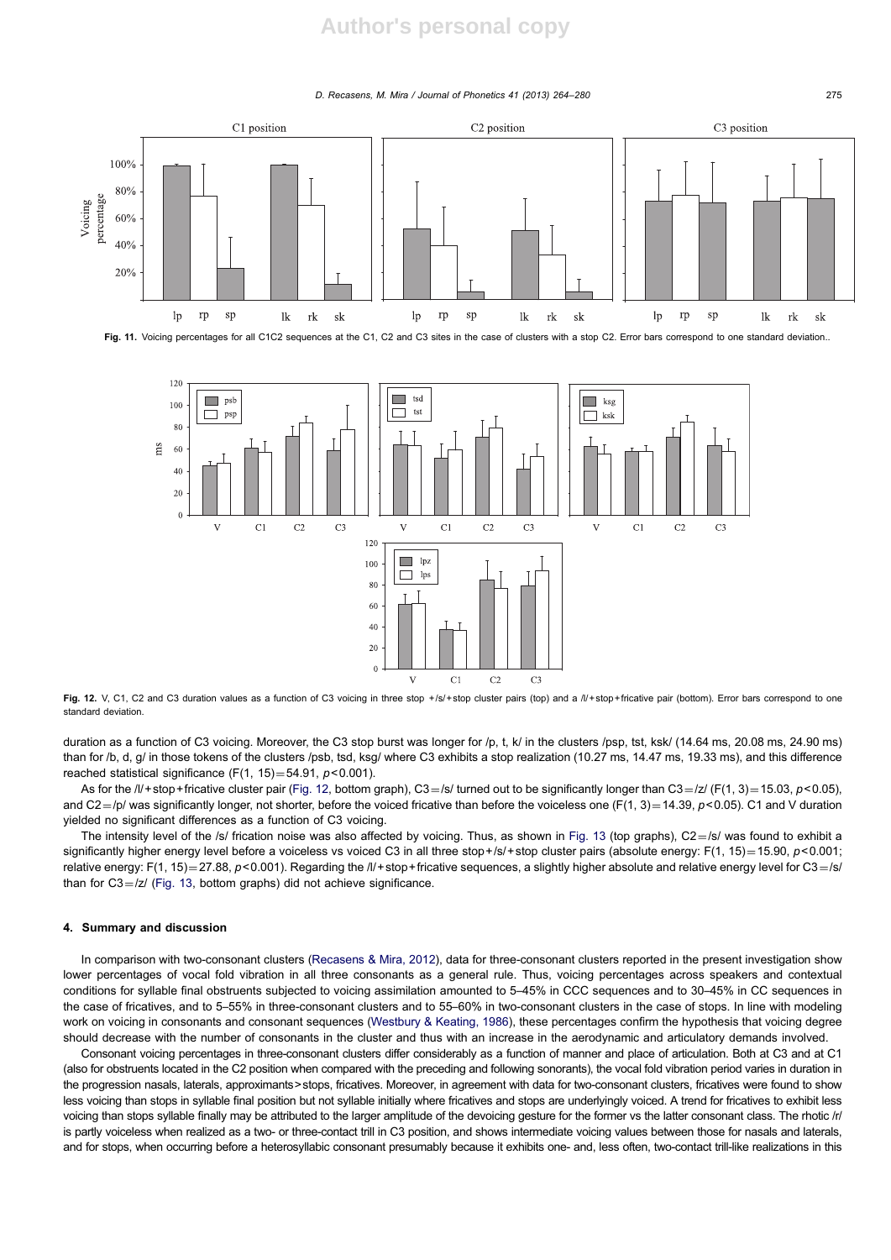

Fig. 11. Voicing percentages for all C1C2 sequences at the C1, C2 and C3 sites in the case of clusters with a stop C2. Error bars correspond to one standard deviation..



Fig. 12. V, C1, C2 and C3 duration values as a function of C3 voicing in three stop +/s/+ stop cluster pairs (top) and a /l/+ stop+fricative pair (bottom). Error bars correspond to one standard deviation.

duration as a function of C3 voicing. Moreover, the C3 stop burst was longer for /p, t, k/ in the clusters /psp, tst, ksk/ (14.64 ms, 20.08 ms, 24.90 ms) than for /b, d, g/ in those tokens of the clusters /psb, tsd, ksg/ where C3 exhibits a stop realization (10.27 ms, 14.47 ms, 19.33 ms), and this difference reached statistical significance (F(1, 15)=54.91,  $p$ <0.001).

As for the /l/+stop+fricative cluster pair (Fig. 12, bottom graph), C3=/s/ turned out to be significantly longer than C3=/z/ (F(1, 3)=15.03, p <0.05), and C2=/p/ was significantly longer, not shorter, before the voiced fricative than before the voiceless one (F(1, 3) = 14.39, p < 0.05). C1 and V duration yielded no significant differences as a function of C3 voicing.

The intensity level of the /s/ frication noise was also affected by voicing. Thus, as shown in Fig. 13 (top graphs),  $C2 = /s/$  was found to exhibit a significantly higher energy level before a voiceless vs voiced C3 in all three stop+/s/+stop cluster pairs (absolute energy: F(1, 15) = 15.90,  $p$ <0.001; relative energy: F(1, 15)=27.88, p<0.001). Regarding the /l/+stop+fricative sequences, a slightly higher absolute and relative energy level for C3=/s/ than for  $C3 = |z|$  (Fig. 13, bottom graphs) did not achieve significance.

### 4. Summary and discussion

In comparison with two-consonant clusters (Recasens & Mira, 2012), data for three-consonant clusters reported in the present investigation show lower percentages of vocal fold vibration in all three consonants as a general rule. Thus, voicing percentages across speakers and contextual conditions for syllable final obstruents subjected to voicing assimilation amounted to 5–45% in CCC sequences and to 30–45% in CC sequences in the case of fricatives, and to 5–55% in three-consonant clusters and to 55–60% in two-consonant clusters in the case of stops. In line with modeling work on voicing in consonants and consonant sequences (Westbury & Keating, 1986), these percentages confirm the hypothesis that voicing degree should decrease with the number of consonants in the cluster and thus with an increase in the aerodynamic and articulatory demands involved.

Consonant voicing percentages in three-consonant clusters differ considerably as a function of manner and place of articulation. Both at C3 and at C1 (also for obstruents located in the C2 position when compared with the preceding and following sonorants), the vocal fold vibration period varies in duration in the progression nasals, laterals, approximants>stops, fricatives. Moreover, in agreement with data for two-consonant clusters, fricatives were found to show less voicing than stops in syllable final position but not syllable initially where fricatives and stops are underlyingly voiced. A trend for fricatives to exhibit less voicing than stops syllable finally may be attributed to the larger amplitude of the devoicing gesture for the former vs the latter consonant class. The rhotic /r/ is partly voiceless when realized as a two- or three-contact trill in C3 position, and shows intermediate voicing values between those for nasals and laterals, and for stops, when occurring before a heterosyllabic consonant presumably because it exhibits one- and, less often, two-contact trill-like realizations in this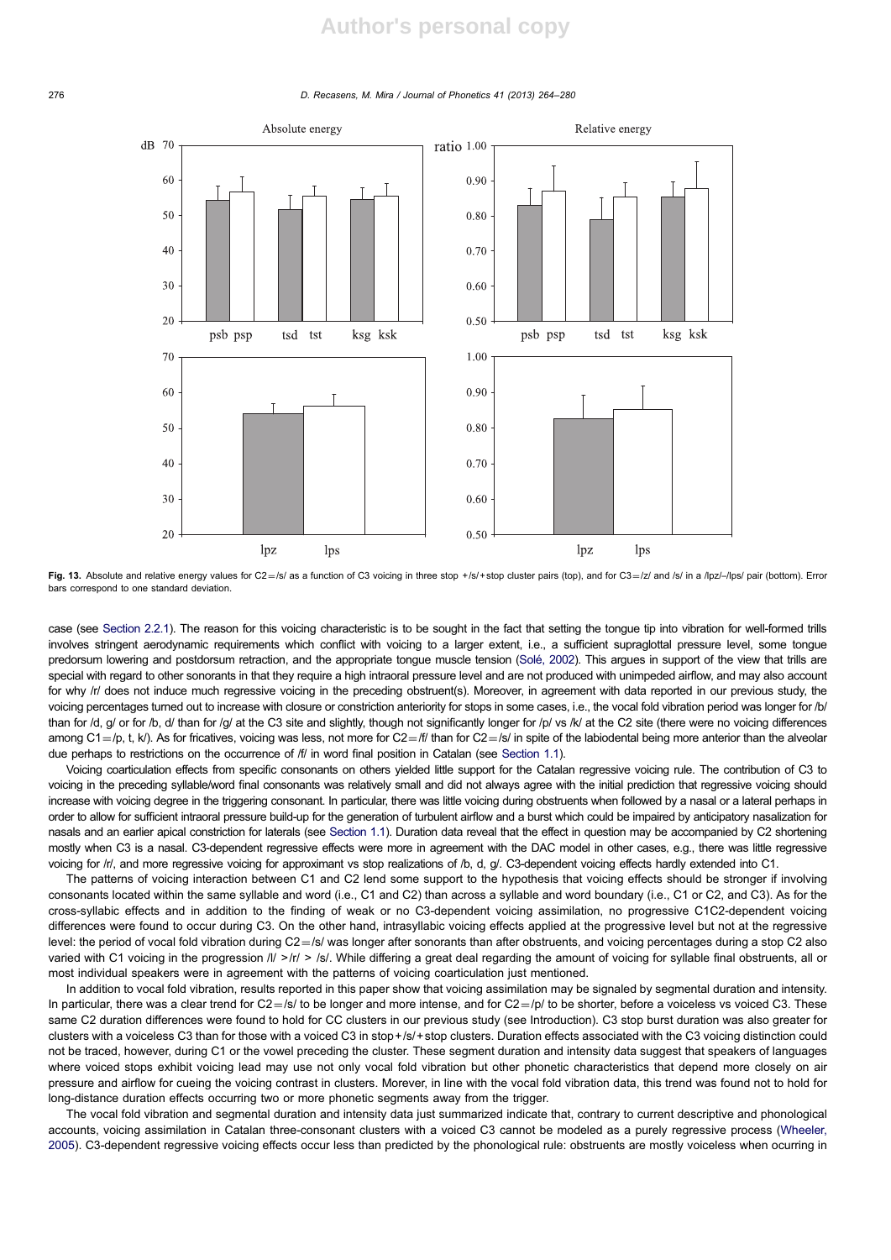#### 276 D. Recasens, M. Mira / Journal of Phonetics 41 (2013) 264–280



Fig. 13. Absolute and relative energy values for C2=/s/ as a function of C3 voicing in three stop +/s/+ stop cluster pairs (top), and for C3=/z/ and /s/ in a /lpz/-/lps/ pair (bottom). Error bars correspond to one standard deviation.

case (see Section 2.2.1). The reason for this voicing characteristic is to be sought in the fact that setting the tongue tip into vibration for well-formed trills involves stringent aerodynamic requirements which conflict with voicing to a larger extent, i.e., a sufficient supraglottal pressure level, some tongue predorsum lowering and postdorsum retraction, and the appropriate tongue muscle tension (Solé, 2002). This argues in support of the view that trills are special with regard to other sonorants in that they require a high intraoral pressure level and are not produced with unimpeded airflow, and may also account for why /r/ does not induce much regressive voicing in the preceding obstruent(s). Moreover, in agreement with data reported in our previous study, the voicing percentages turned out to increase with closure or constriction anteriority for stops in some cases, i.e., the vocal fold vibration period was longer for /b/ than for /d, g/ or for /b, d/ than for /g/ at the C3 site and slightly, though not significantly longer for /p/ vs /k/ at the C2 site (there were no voicing differences among C1 = /p, t, k/). As for fricatives, voicing was less, not more for C2 = /f/ than for C2 = /s/ in spite of the labiodental being more anterior than the alveolar due perhaps to restrictions on the occurrence of  $f/$  in word final position in Catalan (see Section 1.1).

Voicing coarticulation effects from specific consonants on others yielded little support for the Catalan regressive voicing rule. The contribution of C3 to voicing in the preceding syllable/word final consonants was relatively small and did not always agree with the initial prediction that regressive voicing should increase with voicing degree in the triggering consonant. In particular, there was little voicing during obstruents when followed by a nasal or a lateral perhaps in order to allow for sufficient intraoral pressure build-up for the generation of turbulent airflow and a burst which could be impaired by anticipatory nasalization for nasals and an earlier apical constriction for laterals (see Section 1.1). Duration data reveal that the effect in question may be accompanied by C2 shortening mostly when C3 is a nasal. C3-dependent regressive effects were more in agreement with the DAC model in other cases, e.g., there was little regressive voicing for /r/, and more regressive voicing for approximant vs stop realizations of /b, d, g/. C3-dependent voicing effects hardly extended into C1.

The patterns of voicing interaction between C1 and C2 lend some support to the hypothesis that voicing effects should be stronger if involving consonants located within the same syllable and word (i.e., C1 and C2) than across a syllable and word boundary (i.e., C1 or C2, and C3). As for the cross-syllabic effects and in addition to the finding of weak or no C3-dependent voicing assimilation, no progressive C1C2-dependent voicing differences were found to occur during C3. On the other hand, intrasyllabic voicing effects applied at the progressive level but not at the regressive level: the period of vocal fold vibration during  $C2 = /s$ /was longer after sonorants than after obstruents, and voicing percentages during a stop C2 also varied with C1 voicing in the progression  $\frac{1}{l}$  >/r/ > /s/. While differing a great deal regarding the amount of voicing for syllable final obstruents, all or most individual speakers were in agreement with the patterns of voicing coarticulation just mentioned.

In addition to vocal fold vibration, results reported in this paper show that voicing assimilation may be signaled by segmental duration and intensity. In particular, there was a clear trend for  $C2 = /s/$  to be longer and more intense, and for  $C2 = /p/$  to be shorter, before a voiceless vs voiced C3. These same C2 duration differences were found to hold for CC clusters in our previous study (see Introduction). C3 stop burst duration was also greater for clusters with a voiceless C3 than for those with a voiced C3 in stop+/s/+stop clusters. Duration effects associated with the C3 voicing distinction could not be traced, however, during C1 or the vowel preceding the cluster. These segment duration and intensity data suggest that speakers of languages where voiced stops exhibit voicing lead may use not only vocal fold vibration but other phonetic characteristics that depend more closely on air pressure and airflow for cueing the voicing contrast in clusters. Morever, in line with the vocal fold vibration data, this trend was found not to hold for long-distance duration effects occurring two or more phonetic segments away from the trigger.

The vocal fold vibration and segmental duration and intensity data just summarized indicate that, contrary to current descriptive and phonological accounts, voicing assimilation in Catalan three-consonant clusters with a voiced C3 cannot be modeled as a purely regressive process (Wheeler, 2005). C3-dependent regressive voicing effects occur less than predicted by the phonological rule: obstruents are mostly voiceless when ocurring in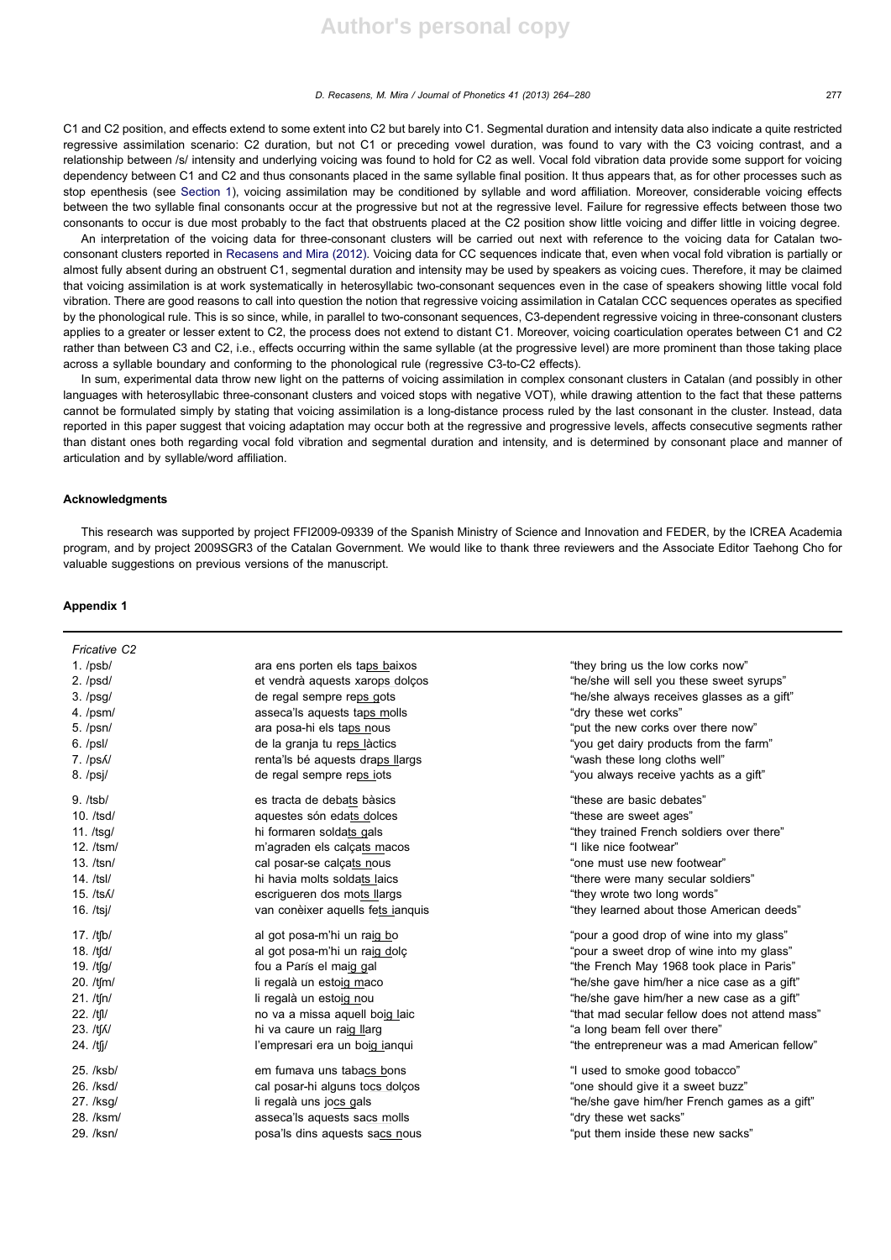C1 and C2 position, and effects extend to some extent into C2 but barely into C1. Segmental duration and intensity data also indicate a quite restricted regressive assimilation scenario: C2 duration, but not C1 or preceding vowel duration, was found to vary with the C3 voicing contrast, and a relationship between /s/ intensity and underlying voicing was found to hold for C2 as well. Vocal fold vibration data provide some support for voicing dependency between C1 and C2 and thus consonants placed in the same syllable final position. It thus appears that, as for other processes such as stop epenthesis (see Section 1), voicing assimilation may be conditioned by syllable and word affiliation. Moreover, considerable voicing effects between the two syllable final consonants occur at the progressive but not at the regressive level. Failure for regressive effects between those two consonants to occur is due most probably to the fact that obstruents placed at the C2 position show little voicing and differ little in voicing degree.

An interpretation of the voicing data for three-consonant clusters will be carried out next with reference to the voicing data for Catalan twoconsonant clusters reported in Recasens and Mira (2012). Voicing data for CC sequences indicate that, even when vocal fold vibration is partially or almost fully absent during an obstruent C1, segmental duration and intensity may be used by speakers as voicing cues. Therefore, it may be claimed that voicing assimilation is at work systematically in heterosyllabic two-consonant sequences even in the case of speakers showing little vocal fold vibration. There are good reasons to call into question the notion that regressive voicing assimilation in Catalan CCC sequences operates as specified by the phonological rule. This is so since, while, in parallel to two-consonant sequences, C3-dependent regressive voicing in three-consonant clusters applies to a greater or lesser extent to C2, the process does not extend to distant C1. Moreover, voicing coarticulation operates between C1 and C2 rather than between C3 and C2, i.e., effects occurring within the same syllable (at the progressive level) are more prominent than those taking place across a syllable boundary and conforming to the phonological rule (regressive C3-to-C2 effects).

In sum, experimental data throw new light on the patterns of voicing assimilation in complex consonant clusters in Catalan (and possibly in other languages with heterosyllabic three-consonant clusters and voiced stops with negative VOT), while drawing attention to the fact that these patterns cannot be formulated simply by stating that voicing assimilation is a long-distance process ruled by the last consonant in the cluster. Instead, data reported in this paper suggest that voicing adaptation may occur both at the regressive and progressive levels, affects consecutive segments rather than distant ones both regarding vocal fold vibration and segmental duration and intensity, and is determined by consonant place and manner of articulation and by syllable/word affiliation.

### Acknowledgments

This research was supported by project FFI2009-09339 of the Spanish Ministry of Science and Innovation and FEDER, by the ICREA Academia program, and by project 2009SGR3 of the Catalan Government. We would like to thank three reviewers and the Associate Editor Taehong Cho for valuable suggestions on previous versions of the manuscript.

### Appendix 1

| Fricative C <sub>2</sub>           |                                   |                                                |
|------------------------------------|-----------------------------------|------------------------------------------------|
| $1.$ /psb/                         | ara ens porten els taps baixos    | "they bring us the low corks now"              |
| $2.$ /psd/                         | et vendrà aquests xarops dolços   | "he/she will sell you these sweet syrups"      |
| $3.$ /psg/                         | de regal sempre reps gots         | "he/she always receives glasses as a gift"     |
| 4. $/psm/$                         | asseca'ls aquests taps molls      | "dry these wet corks"                          |
| $5.$ /psn/                         | ara posa-hi els taps nous         | "put the new corks over there now"             |
| $6.$ /psl/                         | de la granja tu reps làctics      | "you get dairy products from the farm"         |
| 7. /ps//                           | renta'ls bé aquests draps llargs  | "wash these long cloths well"                  |
| 8. /psj/                           | de regal sempre reps iots         | "you always receive yachts as a gift"          |
| $9.$ /tsb/                         | es tracta de debats bàsics        | "these are basic debates"                      |
| $10.$ /tsd/                        | aquestes són edats dolces         | "these are sweet ages"                         |
| 11. /tsg/                          | hi formaren soldats gals          | "they trained French soldiers over there"      |
| 12. /tsm/                          | m'agraden els calçats macos       | "I like nice footwear"                         |
| $13.$ /tsn/                        | cal posar-se calçats nous         | "one must use new footwear"                    |
| $14.$ /tsl/                        | hi havia molts soldats laics      | "there were many secular soldiers"             |
| 15. $ $ ts $\Lambda$ /             | escrigueren dos mots llargs       | "they wrote two long words"                    |
| 16. $/tsi/$                        | van conèixer aquells fets ianquis | "they learned about those American deeds"      |
| 17. $/t/b/$                        | al got posa-m'hi un raig bo       | "pour a good drop of wine into my glass"       |
| 18. $/t/d/$                        | al got posa-m'hi un raig dolç     | "pour a sweet drop of wine into my glass"      |
| 19. $/t[q]$                        | fou a París el maig gal           | "the French May 1968 took place in Paris"      |
| 20. /t[m/                          | li regalà un estoig maco          | "he/she gave him/her a nice case as a gift"    |
| 21. / tfn/                         | li regalà un estoig nou           | "he/she gave him/her a new case as a gift"     |
| 22. /tfl/                          | no va a missa aquell boig laic    | "that mad secular fellow does not attend mass" |
| $23.$ /t $\frac{\Lambda}{\Lambda}$ | hi va caure un raig llarg         | "a long beam fell over there"                  |
| 24. /tʃj/                          | l'empresari era un boig ianqui    | "the entrepreneur was a mad American fellow"   |
| 25. /ksb/                          | em fumava uns tabacs bons         | "I used to smoke good tobacco"                 |
| 26. /ksd/                          | cal posar-hi alguns tocs dolços   | "one should give it a sweet buzz"              |
| 27. /ksq/                          | li regalà uns jocs gals           | "he/she gave him/her French games as a gift"   |
| 28. /ksm/                          | asseca'ls aquests sacs molls      | "dry these wet sacks"                          |
| 29. /ksn/                          | posa'ls dins aquests sacs nous    | "put them inside these new sacks"              |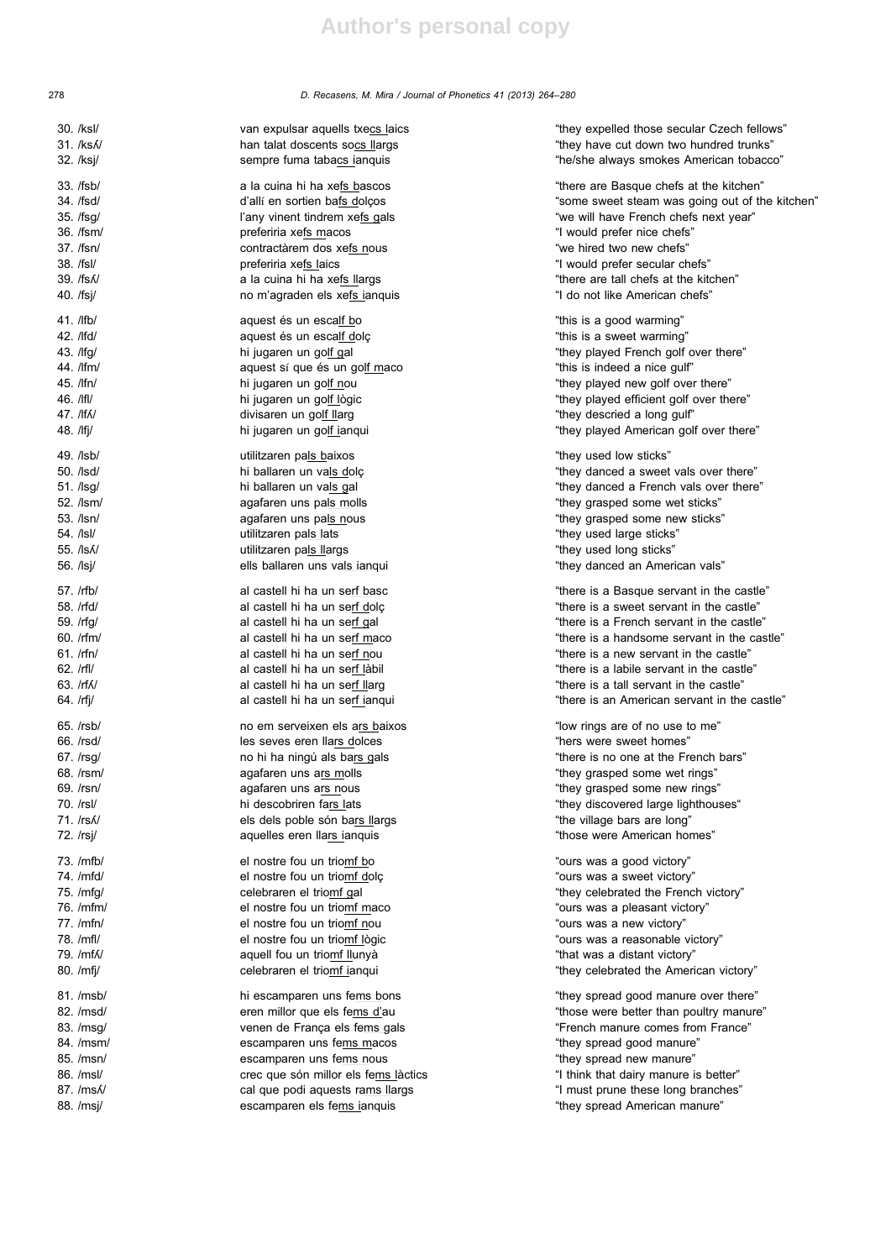### 278 D. Recasens, M. Mira / Journal of Phonetics 41 (2013) 264–280

| 30. /ksl/          | van expulsar aquells txecs laics     | "they expelled those secular Czech fellows"     |
|--------------------|--------------------------------------|-------------------------------------------------|
| 31. /ks//          | han talat doscents socs llargs       | "they have cut down two hundred trunks"         |
| 32. /ksj/          | sempre fuma tabacs janquis           | "he/she always smokes American tobacco"         |
| 33. /fsb/          | a la cuina hi ha xefs bascos         | "there are Basque chefs at the kitchen"         |
| 34. /fsd/          | d'allí en sortien bafs dolços        | "some sweet steam was going out of the kitchen" |
| 35. /fsg/          | l'any vinent tindrem xefs gals       | "we will have French chefs next year"           |
| 36. /fsm/          | preferiria xefs macos                | "I would prefer nice chefs"                     |
| 37. /fsn/          | contractàrem dos xefs nous           | "we hired two new chefs"                        |
| 38. /fsl/          | preferiria xefs laics                | "I would prefer secular chefs"                  |
| 39. /fs/           | a la cuina hi ha xefs llargs         | "there are tall chefs at the kitchen"           |
| 40. /fsi/          | no m'agraden els xefs ianquis        | "I do not like American chefs"                  |
| 41. /lfb/          | aquest és un escalf bo               | "this is a good warming"                        |
| 42. /lfd/          | aquest és un escalf dolç             | "this is a sweet warming"                       |
| 43. $/$ Ifg $/$    | hi jugaren un golf gal               | "they played French golf over there"            |
| 44. /lfm/          | aquest sí que és un golf maco        | "this is indeed a nice gulf"                    |
| 45. /lfn/          | hi jugaren un golf nou               | "they played new golf over there"               |
| 46. /lfl/          | hi jugaren un golf lògic             | "they played efficient golf over there"         |
| 47. /lf <i>k</i> / | divisaren un golf llarg              | "they descried a long gulf"                     |
| 48. /lfj/          | hi jugaren un golf janqui            | "they played American golf over there"          |
| 49. /lsb/          | utilitzaren pals baixos              | "they used low sticks"                          |
| 50. /lsd/          | hi ballaren un vals dolç             | "they danced a sweet vals over there"           |
| $51.$ /lsg/        | hi ballaren un vals gal              | "they danced a French vals over there"          |
| 52. /lsm/          | agafaren uns pals molls              | "they grasped some wet sticks"                  |
| $53.$ /lsn/        | agafaren uns pals nous               | "they grasped some new sticks"                  |
| 54. /lsl/          | utilitzaren pals lats                | "they used large sticks"                        |
| 55. /ls/           | utilitzaren pals llargs              | "they used long sticks"                         |
| 56. /lsj/          | ells ballaren uns vals janqui        | "they danced an American vals"                  |
| 57. /rfb/          | al castell hi ha un serf basc        | "there is a Basque servant in the castle"       |
| 58. /rfd/          | al castell hi ha un serf dolç        | "there is a sweet servant in the castle"        |
| 59. /rfg/          | al castell hi ha un serf gal         | "there is a French servant in the castle"       |
| $60.$ /rfm/        | al castell hi ha un serf maco        | "there is a handsome servant in the castle"     |
| $61.$ /rfn/        | al castell hi ha un serf nou         | "there is a new servant in the castle"          |
| $62.$ /rfl/        | al castell hi ha un serf làbil       | "there is a labile servant in the castle"       |
| 63. /rf//          | al castell hi ha un serf llarg       | "there is a tall servant in the castle"         |
| 64./rfj/           | al castell hi ha un serf janqui      | "there is an American servant in the castle"    |
| 65./rsb/           | no em serveixen els ars baixos       | "low rings are of no use to me"                 |
| 66. /rsd/          | les seves eren llars dolces          | "hers were sweet homes"                         |
| 67. /rsg/          | no hi ha ningú als bars gals         | "there is no one at the French bars"            |
| 68. /rsm/          | agafaren uns ars molls               | "they grasped some wet rings"                   |
| 69./rsn/           | agafaren uns ars nous                | "they grasped some new rings"                   |
| 70. /rsl/          | hi descobriren fars lats             | "they discovered large lighthouses"             |
| 71. /rs//          | els dels poble són bars llargs       | "the village bars are long"                     |
| 72. /rsj/          | aquelles eren llars janquis          | "those were American homes"                     |
| 73./mfb/           | el nostre fou un triomf bo           | "ours was a good victory"                       |
| 74. /mfd/          | el nostre fou un triomf dolc         | "ours was a sweet victory"                      |
| 75. /mfg/          | celebraren el triomf gal             | "they celebrated the French victory"            |
| 76./mfm/           | el nostre fou un triomf maco         | "ours was a pleasant victory"                   |
| 77./mfn/           | el nostre fou un triomf nou          | "ours was a new victory"                        |
| 78. /mfl/          | el nostre fou un triomf lògic        | "ours was a reasonable victory"                 |
| 79. /mf <i>N</i>   | aquell fou un triomf llunyà          | "that was a distant victory"                    |
| 80. /mfj/          | celebraren el triomf ianqui          | "they celebrated the American victory"          |
| 81./msb/           | hi escamparen uns fems bons          | "they spread good manure over there"            |
| 82. /msd/          | eren millor que els fems d'au        | "those were better than poultry manure"         |
| 83. /msg/          | venen de França els fems gals        | "French manure comes from France"               |
| 84. /msm/          | escamparen uns fems macos            | "they spread good manure"                       |
| 85. /msn/          | escamparen uns fems nous             | "they spread new manure"                        |
| 86./msl/           | crec que són millor els fems làctics | "I think that dairy manure is better"           |
| 87./ms/            | cal que podi aquests rams llargs     | "I must prune these long branches"              |
| 88./msj/           | escamparen els fems ianquis          | "they spread American manure"                   |
|                    |                                      |                                                 |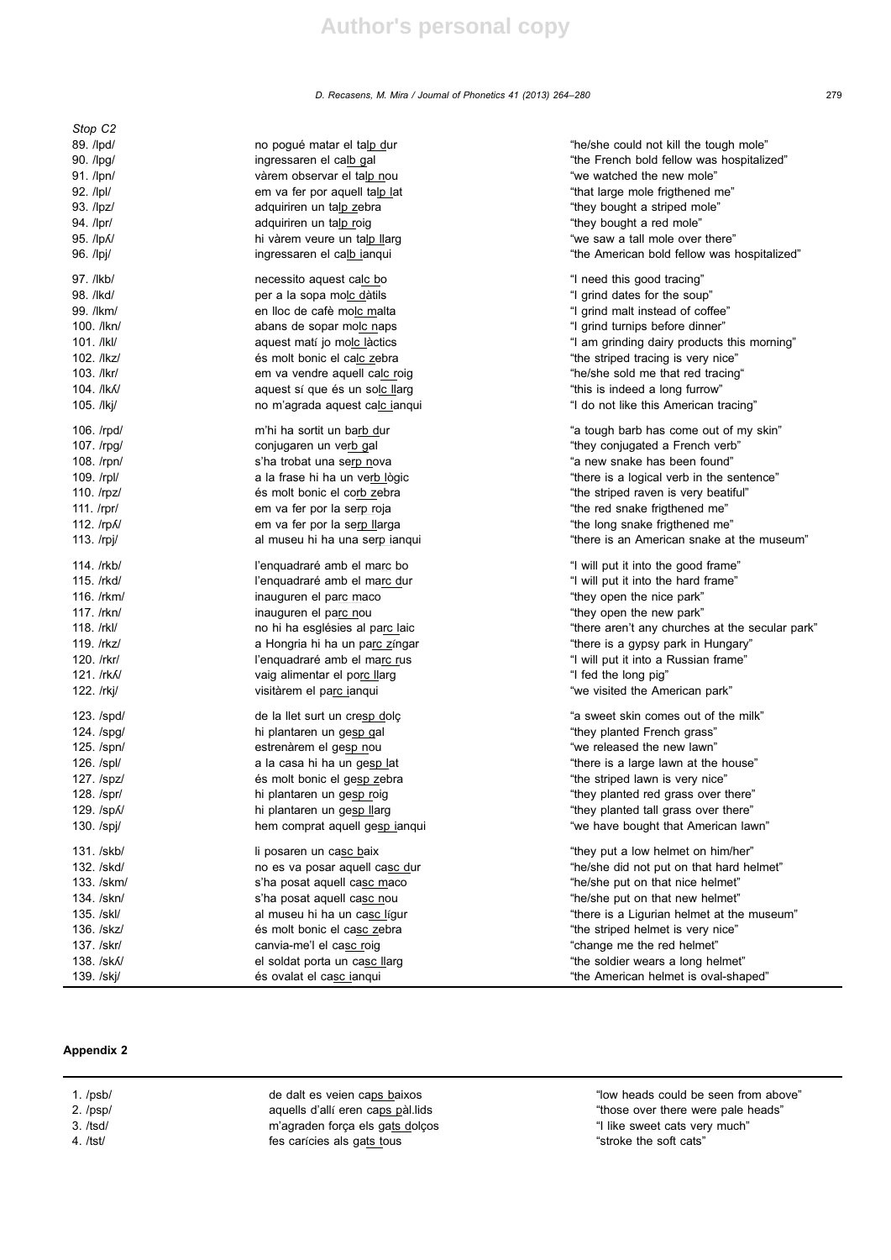| Stop C <sub>2</sub> |                                 |                                                 |
|---------------------|---------------------------------|-------------------------------------------------|
| 89. /lpd/           | no pogué matar el talp dur      | "he/she could not kill the tough mole"          |
| 90. /lpg/           | ingressaren el calb gal         | "the French bold fellow was hospitalized"       |
| 91. /lpn/           | vàrem observar el talp nou      | "we watched the new mole"                       |
| 92. /lpl/           | em va fer por aquell talp lat   | "that large mole frigthened me"                 |
| 93. /lpz/           | adquiriren un talp zebra        | "they bought a striped mole"                    |
| 94. /lpr/           | adquiriren un talp roig         | "they bought a red mole"                        |
| 95. /lp//           | hi vàrem veure un talp llarg    | "we saw a tall mole over there"                 |
| 96. /lpj/           | ingressaren el calb janqui      | "the American bold fellow was hospitalized"     |
| 97. /kb/            | necessito aquest calc bo        | "I need this good tracing"                      |
| 98. /lkd/           | per a la sopa molc dàtils       | "I grind dates for the soup"                    |
| 99. /lkm/           | en lloc de cafè molc malta      | "I grind malt instead of coffee"                |
| 100. /lkn/          | abans de sopar molc naps        | "I grind turnips before dinner"                 |
| 101. /lkl/          | aquest matí jo molc làctics     | "I am grinding dairy products this morning"     |
| 102. /lkz/          | és molt bonic el calc zebra     | "the striped tracing is very nice"              |
| 103. /lkr/          | em va vendre aquell calc roig   | "he/she sold me that red tracing"               |
| 104. /k/            | aquest sí que és un solc llarg  | "this is indeed a long furrow"                  |
| 105. /lkj/          | no m'agrada aquest calc ianqui  | "I do not like this American tracing"           |
| 106. /rpd/          | m'hi ha sortit un barb dur      | "a tough barb has come out of my skin"          |
| 107. /rpg/          | conjugaren un verb gal          | "they conjugated a French verb"                 |
| 108. /rpn/          | s'ha trobat una serp nova       | "a new snake has been found"                    |
| 109. /rpl/          | a la frase hi ha un verb lògic  | "there is a logical verb in the sentence"       |
| 110. /rpz/          | és molt bonic el corb zebra     | "the striped raven is very beatiful"            |
| 111. /rpr/          | em va fer por la serp roja      | "the red snake frigthened me"                   |
| 112. /rp//          | em va fer por la serp llarga    | "the long snake frigthened me"                  |
| 113. $/rpi/$        | al museu hi ha una serp iangui  | "there is an American snake at the museum"      |
| 114. /rkb/          | l'enquadraré amb el marc bo     | "I will put it into the good frame"             |
| 115. /rkd/          | l'enquadraré amb el marc dur    | "I will put it into the hard frame"             |
| 116. /rkm/          | inauguren el parc maco          | "they open the nice park"                       |
| 117. /rkn/          | inauguren el parc nou           | "they open the new park"                        |
| 118. /rkl/          | no hi ha esglésies al parc laic | "there aren't any churches at the secular park" |
| 119. /rkz/          | a Hongria hi ha un parc zíngar  | "there is a gypsy park in Hungary"              |
| 120. /rkr/          | l'enquadraré amb el marc rus    | "I will put it into a Russian frame"            |
| 121. /rk/           | vaig alimentar el porc llarg    | "I fed the long pig"                            |
| 122. /rkj/          | visitàrem el parc janqui        | "we visited the American park"                  |
| 123. /spd/          | de la llet surt un cresp dolç   | "a sweet skin comes out of the milk"            |
| 124. /spg/          | hi plantaren un gesp gal        | "they planted French grass"                     |
| 125. /spn/          | estrenàrem el gesp nou          | "we released the new lawn"                      |
| 126. /spl/          | a la casa hi ha un gesp lat     | "there is a large lawn at the house"            |
| 127. /spz/          | és molt bonic el gesp zebra     | "the striped lawn is very nice"                 |
| 128. /spr/          | hi plantaren un gesp roig       | "they planted red grass over there"             |
| 129. /sp//          | hi plantaren un gesp llarg      | "they planted tall grass over there"            |
| 130. /spj/          | hem comprat aquell gesp janqui  | "we have bought that American lawn"             |
| 131. /skb/          | li posaren un casc baix         | "they put a low helmet on him/her"              |
| 132. /skd/          | no es va posar aquell casc dur  | "he/she did not put on that hard helmet"        |
| 133. /skm/          | s'ha posat aquell casc maco     | "he/she put on that nice helmet"                |
| 134. /skn/          | s'ha posat aquell casc nou      | "he/she put on that new helmet"                 |
| 135. /skl/          | al museu hi ha un casc lígur    | "there is a Ligurian helmet at the museum"      |
| 136. /skz/          | és molt bonic el casc zebra     | "the striped helmet is very nice"               |
| 137. /skr/          | canvia-me'l el casc roig        | "change me the red helmet"                      |
| 138. /sk/           | el soldat porta un casc llarg   | "the soldier wears a long helmet"               |
| 139. /skj/          | és ovalat el casc ianqui        | "the American helmet is oval-shaped"            |
|                     |                                 |                                                 |

### Appendix 2

3. /tsd/ **m'agraden força els gats dolços** (1) the sweet cats ver<br>
4. /tst/ **metal and the system of the soft cats** fes carícies als gats tous fes carícies als gats tous

1. /psb/<br>
2. /psp/ de dalt es veien caps baixos<br>
2. /psp/ de dalt eren caps pàl.lids<br>
2. /psp/ de dalt eren caps pàl.lids<br>
2. /psp/ 2. *i*psp/<br>
2. *i*psp/<br>
3. /tsd/<br>
3. /tsd/<br> **a** m'agraden força els gats dolços<br> **a** those over there were pale heads"<br> **a** those over there were pale heads"